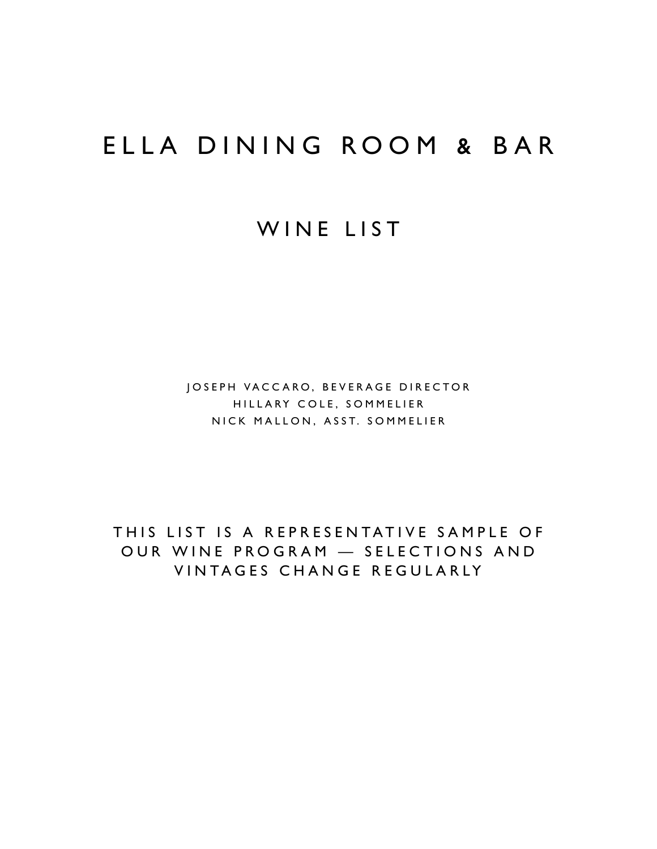## ELLA DINING ROOM & BAR

### WINE LIST

JOSEPH VACCARO, BEVERAGE DIRECTOR HILLARY COLE, SOMMELIER NICK MALLON, ASST. SOMMELIER

THIS LIST IS A REPRESENTATIVE SAMPLE OF OUR WINE PROGRAM — SELECTIONS AND VINTAGES CHANGE REGULARLY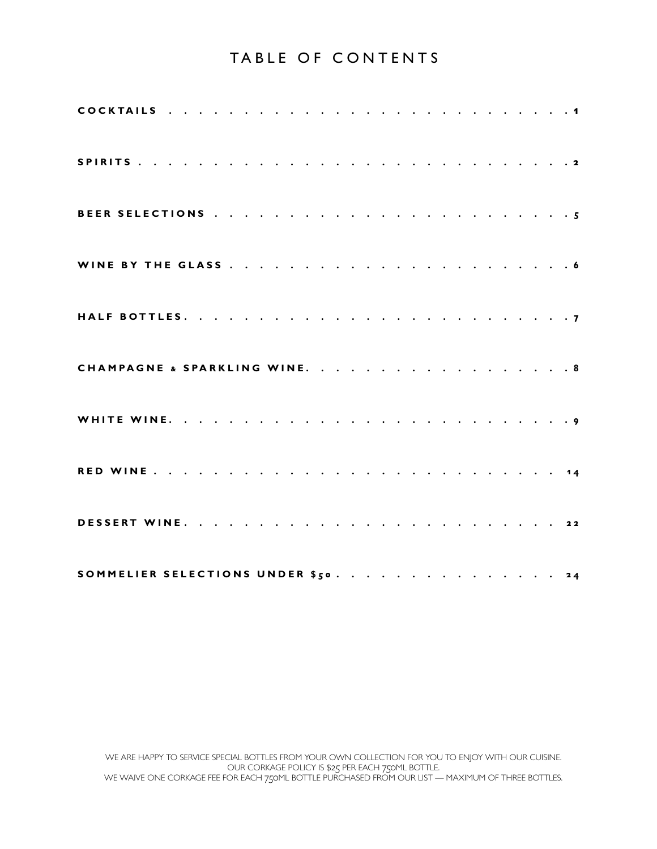### TABLE OF CONTENTS

| CHAMPAGNE & SPARKLING WINE. 8       |  |  |  |  |  |  |  |  |  |  |  |  |  |
|-------------------------------------|--|--|--|--|--|--|--|--|--|--|--|--|--|
|                                     |  |  |  |  |  |  |  |  |  |  |  |  |  |
|                                     |  |  |  |  |  |  |  |  |  |  |  |  |  |
|                                     |  |  |  |  |  |  |  |  |  |  |  |  |  |
| SOMMELIER SELECTIONS UNDER \$50. 24 |  |  |  |  |  |  |  |  |  |  |  |  |  |

WE ARE HAPPY TO SERVICE SPECIAL BOTTLES FROM YOUR OWN COLLECTION FOR YOU TO ENJOY WITH OUR CUISINE. OUR CORKAGE POLICY IS \$25 PER EACH 750ML BOTTLE. WE WAIVE ONE CORKAGE FEE FOR EACH 750ML BOTTLE PURCHASED FROM OUR LIST — MAXIMUM OF THREE BOTTLES.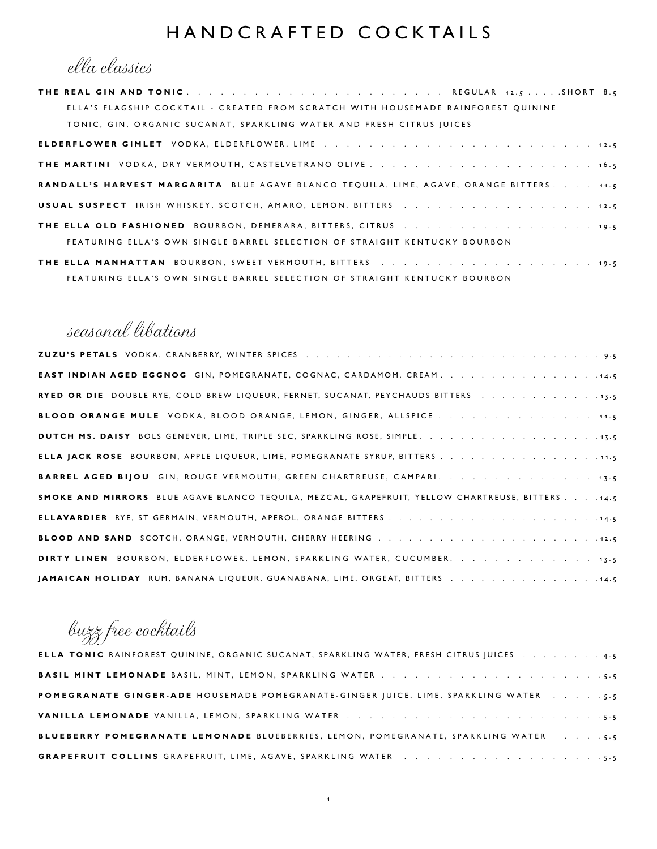### HANDCRAFTED COCKTAILS

ella classics

| ELLA'S FLAGSHIP COCKTAIL - CREATED FROM SCRATCH WITH HOUSEMADE RAINFOREST QUININE              |
|------------------------------------------------------------------------------------------------|
| TONIC, GIN, ORGANIC SUCANAT, SPARKLING WATER AND FRESH CITRUS JUICES                           |
|                                                                                                |
|                                                                                                |
| <b>RANDALL'S HARVEST MARGARITA</b> BLUE AGAVE BLANCO TEQUILA, LIME, AGAVE, ORANGE BITTERS 11.5 |
| USUAL SUSPECT IRISH WHISKEY, SCOTCH, AMARO, LEMON, BITTERS 12.5                                |
| <b>THE ELLA OLD FASHIONED</b> BOURBON, DEMERARA, BITTERS, CITRUS 19.5                          |
| FEATURING ELLA'S OWN SINGLE BARREL SELECTION OF STRAIGHT KENTUCKY BOURBON                      |

**THE ELLA MANHATTAN** BOURBON, SWEET VERMOUTH, BITTERS . . . . . . . . . . . . . . . . . . . 19.5 FEATURING ELLA'S OWN SINGLE BARREL SELECTION OF STRAIGHT KENTUCKY BOURBON

### seasonal libations

| <b>EAST INDIAN AGED EGGNOG</b> GIN, POMEGRANATE, COGNAC, CARDAMOM, CREAM                         |
|--------------------------------------------------------------------------------------------------|
| RYED OR DIE DOUBLE RYE, COLD BREW LIQUEUR, FERNET, SUCANAT, PEYCHAUDS BITTERS 13.5               |
| <b>BLOOD ORANGE MULE</b> VODKA, BLOOD ORANGE, LEMON, GINGER, ALLSPICE 11.5                       |
|                                                                                                  |
| ELLA JACK ROSE BOURBON, APPLE LIQUEUR, LIME, POMEGRANATE SYRUP, BITTERS 11.5                     |
| <b>BARREL AGED BIJOU</b> GIN, ROUGE VERMOUTH, GREEN CHARTREUSE, CAMPARI. 13.5                    |
| SMOKE AND MIRRORS BLUE AGAVE BLANCO TEQUILA, MEZCAL, GRAPEFRUIT, YELLOW CHARTREUSE, BITTERS 14.5 |
|                                                                                                  |
|                                                                                                  |
| DIRTY LINEN BOURBON, ELDERFLOWER, LEMON, SPARKLING WATER, CUCUMBER. 13.5                         |
| JAMAICAN HOLIDAY RUM, BANANA LIQUEUR, GUANABANA, LIME, ORGEAT, BITTERS 14.5                      |

buzz free cocktails

| ELLA TONIC RAINFOREST QUININE, ORGANIC SUCANAT, SPARKLING WATER, FRESH CITRUS JUICES 4.5                                                |
|-----------------------------------------------------------------------------------------------------------------------------------------|
|                                                                                                                                         |
| <b>POMEGRANATE GINGER-ADE HOUSEMADE POMEGRANATE-GINGER JUICE, LIME, SPARKLING WATER 5.5</b>                                             |
|                                                                                                                                         |
| <b>BLUEBERRY POMEGRANATE LEMONADE BLUEBERRIES, LEMON, POMEGRANATE, SPARKLING WATER [14] Letter State State State Industry Pomegrana</b> |
|                                                                                                                                         |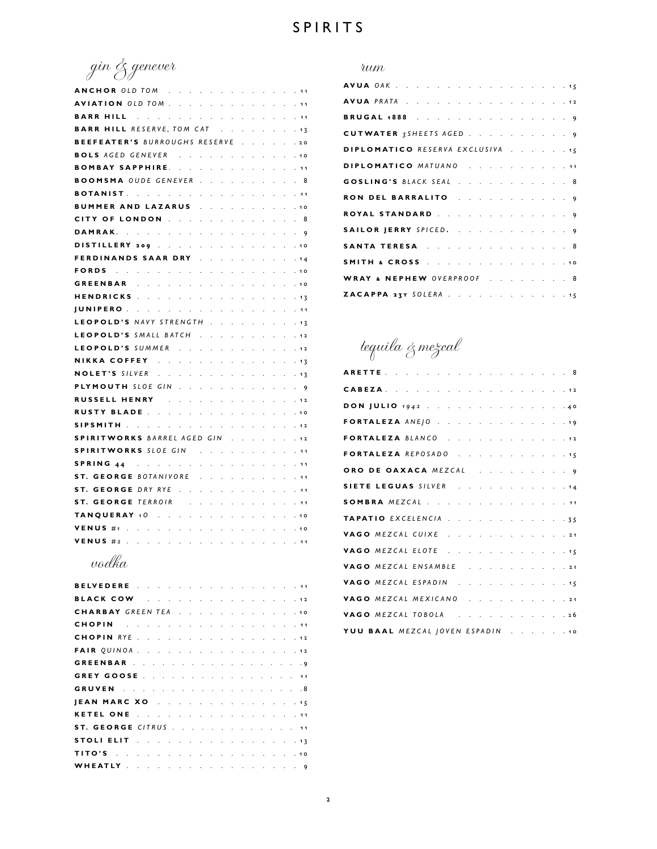gin & genever

| ANCHOROLD TOM<br>. 11                                                                                                                                                                            |  |
|--------------------------------------------------------------------------------------------------------------------------------------------------------------------------------------------------|--|
| AVIATION OLD TOM                                                                                                                                                                                 |  |
| <b>BARR HILL</b><br>$\mathcal{L}^{\pm}$<br>$\sim$<br>$\sim$<br>. 11                                                                                                                              |  |
| <b>BARR HILL RESERVE, TOM CAT</b><br>$\mathbf{r}$<br>$\ddot{\phantom{a}}$<br>. 13                                                                                                                |  |
| BEEFEATER'S BURROUGHS RESERVE<br>.20                                                                                                                                                             |  |
| <b>BOLS</b> AGED GENEVER<br>the contract of the contract<br>. 10                                                                                                                                 |  |
| BOMBAY SAPPHIRE.<br>. 11                                                                                                                                                                         |  |
| <b>BOOMSMA</b> OUDE GENEVER<br>. 8                                                                                                                                                               |  |
| <b>BOTANIST</b><br>. 11                                                                                                                                                                          |  |
| BUMMER AND LAZARUS<br>.10                                                                                                                                                                        |  |
| CITY OF LONDON<br>$\mathcal{L}^{\text{max}}$ .<br>$\mathbf{r}$<br>$\sim$ $\sim$<br>V.<br>$\mathbf{r}$<br>. 8                                                                                     |  |
| DAMRAK.<br>$\sim$<br>$\cdot$<br>.9<br>$\mathbf{r}$<br>$\ddot{\phantom{a}}$                                                                                                                       |  |
| DISTILLERY 209<br>.10<br>$\mathcal{L}^{\pm}$<br>$\ddot{\phantom{a}}$<br>$\ddot{\phantom{a}}$<br>$\ddot{\phantom{a}}$<br>$\ddot{\phantom{a}}$                                                     |  |
| <b>FERDINANDS SAAR DRY</b><br>$\mathcal{L}^{\mathcal{L}}$<br>$\ddot{\phantom{a}}$<br>. 14                                                                                                        |  |
| FORDS<br>. 10                                                                                                                                                                                    |  |
| GREENBAR<br>$\mathcal{L}^{\text{max}}$<br>. 10                                                                                                                                                   |  |
| HENDRICKS<br>$\mathcal{L} = \mathcal{L} \times \mathcal{L}$ .<br>.13                                                                                                                             |  |
| <b>JUNIPERO</b><br>. 11                                                                                                                                                                          |  |
| LEOPOLD'S NAVY STRENGTH<br>. 13                                                                                                                                                                  |  |
| LEOPOLD'S SMALL BATCH<br>.12                                                                                                                                                                     |  |
| LEOPOLD'S SUMMER<br>$\omega = \omega = \omega$<br>$\mathbf{L}$<br>. 12                                                                                                                           |  |
| NIKKA COFFEY<br>$\sim$<br>$\mathcal{L}^{\mathcal{L}}$<br>L.<br>$\sim$<br>. 13                                                                                                                    |  |
| <b>NOLET'S SILVER</b><br>$\mathcal{A}^{\mathcal{A}}$ , $\mathcal{A}^{\mathcal{A}}$<br>$\mathcal{L}^{\text{max}}$<br>$\mathbf{r}$<br>$\mathbf{r}$<br>$\mathbf{L}$<br>$\ddot{\phantom{a}}$<br>. 13 |  |
| <b>PLYMOUTH</b> SLOE GIN<br>$\ddot{\phantom{a}}$<br>. 9                                                                                                                                          |  |
| RUSSELL HENRY And Allen<br>. 12                                                                                                                                                                  |  |
| RUSTY BLADE<br>. 10                                                                                                                                                                              |  |
| SIPSMITH The contract the contract of the set<br>. 12                                                                                                                                            |  |
| SPIRITWORKS BARREL AGED GIN<br>and a state<br>. 12                                                                                                                                               |  |
| SPIRITWORKS SLOE GIN<br>. 11                                                                                                                                                                     |  |
| . 11                                                                                                                                                                                             |  |
| ST. GEORGE BOTANIVORE<br>and a state<br>$\mathbf{r}$<br>$\sim$<br>$\sim$<br>. 11                                                                                                                 |  |
| ST. GEORGE DRY RYE<br>$\mathbf{r}$<br>$\mathbf{r}$<br>$\mathbf{r}$<br>s.<br>$\sim$<br>$\mathbf{r}$<br>$\ddot{\phantom{a}}$<br>$\mathbf{r}$<br>. 11<br>a.                                         |  |
| <b>ST. GEORGE TERROIR</b><br>$\sim$<br>$\mathbf{r}$<br>$\ddot{\phantom{a}}$<br>$\ddot{\phantom{a}}$<br>. 11                                                                                      |  |
| TANQUERAY 10<br>. 10                                                                                                                                                                             |  |
| VENUS $#_1$<br>the company of the company<br>. 10                                                                                                                                                |  |
| VENUS #2<br>. 11                                                                                                                                                                                 |  |

### vodka

| BELVEDERE 11                                                                                                                                                                                                                   |  |  |  |  |  |  |  |  |
|--------------------------------------------------------------------------------------------------------------------------------------------------------------------------------------------------------------------------------|--|--|--|--|--|--|--|--|
| BLACK COW 12                                                                                                                                                                                                                   |  |  |  |  |  |  |  |  |
| <b>CHARBAY</b> GREEN TEA 10                                                                                                                                                                                                    |  |  |  |  |  |  |  |  |
| CHOPIN <b>Experience CHOPIN CHOPIN</b>                                                                                                                                                                                         |  |  |  |  |  |  |  |  |
| CHOPIN RYE 12                                                                                                                                                                                                                  |  |  |  |  |  |  |  |  |
|                                                                                                                                                                                                                                |  |  |  |  |  |  |  |  |
| GREENBAR 9                                                                                                                                                                                                                     |  |  |  |  |  |  |  |  |
|                                                                                                                                                                                                                                |  |  |  |  |  |  |  |  |
| <b>GRUVEN</b> 8                                                                                                                                                                                                                |  |  |  |  |  |  |  |  |
| JEAN MARC XO 15                                                                                                                                                                                                                |  |  |  |  |  |  |  |  |
| KETEL ONE 11                                                                                                                                                                                                                   |  |  |  |  |  |  |  |  |
| ST. GEORGE CITRUS 11                                                                                                                                                                                                           |  |  |  |  |  |  |  |  |
| STOLI ELIT IN ANNOUNCE IN A REPORT OF THE STOLE EXPERIENCE IN A REPORT OF THE STATE OF THE STATE OF THE STATE OF THE STATE OF THE STATE OF THE STATE OF THE STATE OF THE STATE OF THE STATE OF THE STATE OF THE STATE OF THE S |  |  |  |  |  |  |  |  |
|                                                                                                                                                                                                                                |  |  |  |  |  |  |  |  |
| WHEATLY 9                                                                                                                                                                                                                      |  |  |  |  |  |  |  |  |

#### rum

| <b>AVUA OAK</b> 15               |  |  |  |  |  |  |  |  |
|----------------------------------|--|--|--|--|--|--|--|--|
| <b>AVUA</b> PRATA 12             |  |  |  |  |  |  |  |  |
| BRUGAL 1888 9                    |  |  |  |  |  |  |  |  |
| CUTWATER 3SHEETS AGED 9          |  |  |  |  |  |  |  |  |
| DIPLOMATICO RESERVA EXCLUSIVA 15 |  |  |  |  |  |  |  |  |
| DIPLOMATICO MATUANO 11           |  |  |  |  |  |  |  |  |
| GOSLING'S BLACK SEAL 8           |  |  |  |  |  |  |  |  |
| RON DEL BARRALITO 9              |  |  |  |  |  |  |  |  |
| ROYAL STANDARD 9                 |  |  |  |  |  |  |  |  |
| SAILOR JERRY SPICED. 9           |  |  |  |  |  |  |  |  |
| SANTA TERESA 8                   |  |  |  |  |  |  |  |  |
| SMITH & CROSS 10                 |  |  |  |  |  |  |  |  |
| WRAY & NEPHEW OVERPROOF 8        |  |  |  |  |  |  |  |  |
| ZACAPPA 23Y SOLERA 15            |  |  |  |  |  |  |  |  |

tequila & mezcal

| <b>CABEZA</b> . 12               |  |  |  |  |
|----------------------------------|--|--|--|--|
| DON JULIO 1942 40                |  |  |  |  |
| FORTALEZA ANEJO 19               |  |  |  |  |
| FORTALEZA BLANCO 12              |  |  |  |  |
| FORTALEZA REPOSADO 15            |  |  |  |  |
| ORO DE OAXACA MEZCAL 9           |  |  |  |  |
| SIETE LEGUAS SILVER 44           |  |  |  |  |
| SOMBRA MEZCAL 11                 |  |  |  |  |
| TAPATIO EXCELENCIA 35            |  |  |  |  |
| VAGO MEZCAL CUIXE 21             |  |  |  |  |
| VAGO MEZCAL ELOTE 15             |  |  |  |  |
| VAGO MEZCAL ENSAMBLE 21          |  |  |  |  |
| VAGO MEZCAL ESPADIN 15           |  |  |  |  |
| VAGO MEZCAL MEXICANO 21          |  |  |  |  |
| VAGO MEZCAL TOBOLA 26            |  |  |  |  |
| YUU BAAL MEZCAL JOVEN ESPADIN 10 |  |  |  |  |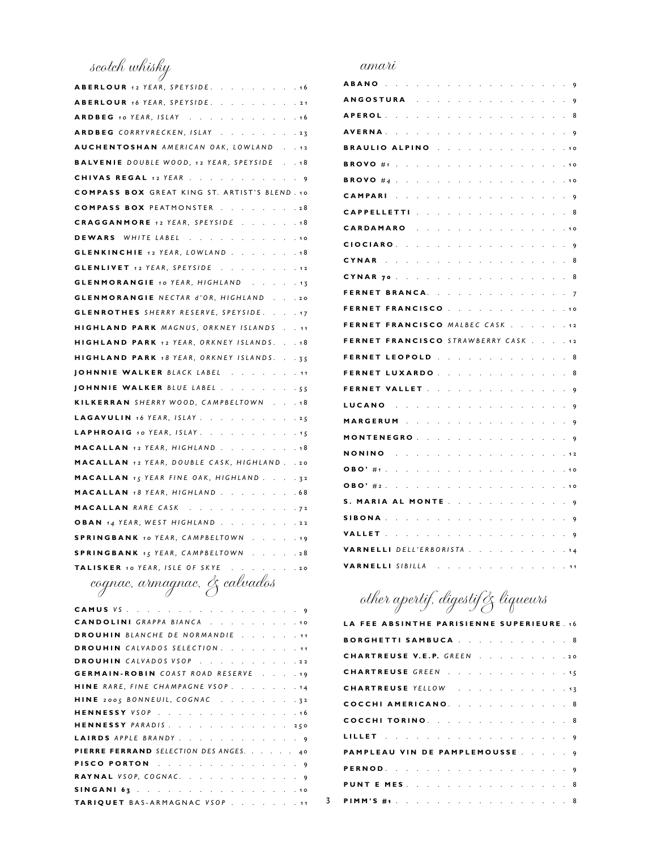scotch whisky

| ABERLOUR 12 YEAR, SPEYSIDE. 16                       |
|------------------------------------------------------|
| ABERLOUR 16 YEAR, SPEYSIDE. 21                       |
| ARDBEG 10 YEAR, ISLAY 16                             |
| ARDBEG CORRYVRECKEN, ISLAY 23                        |
| AUCHENTOSHAN AMERICAN OAK, LOWLAND 12                |
| <b>BALVENIE</b> DOUBLE WOOD, 12 YEAR, SPEYSIDE 18    |
| CHIVAS REGAL 12 YEAR 9                               |
| <b>COMPASS BOX GREAT KING ST. ARTIST'S BLEND. 10</b> |
| <b>COMPASS BOX PEATMONSTER 28</b>                    |
| CRAGGANMORE 12 YEAR, SPEYSIDE 18                     |
| DEWARS WHITE LABEL 10                                |
| <b>GLENKINCHIE</b> 12 YEAR, LOWLAND 18               |
| <b>GLENLIVET</b> 12 YEAR, SPEYSIDE 12                |
| <b>GLENMORANGIE</b> 10 YEAR, HIGHLAND 13             |
| <b>GLENMORANGIE</b> NECTAR d'OR, HIGHLAND 20         |
| <b>GLENROTHES</b> SHERRY RESERVE, SPEYSIDE. 17       |
| HIGHLAND PARK MAGNUS, ORKNEY ISLANDS 11              |
| HIGHLAND PARK 12 YEAR, ORKNEY ISLANDS. 18            |
| HIGHLAND PARK 18 YEAR, ORKNEY ISLANDS. 35            |
| JOHNNIE WALKER BLACK LABEL 11                        |
| JOHNNIE WALKER BLUE LABEL 55                         |
| KILKERRAN SHERRY WOOD, CAMPBELTOWN 18                |
| LAGAVULIN 16 YEAR, ISLAY 25                          |
| LAPHROAIG 10 YEAR, ISLAY. 15                         |
| MACALLAN 12 YEAR, HIGHLAND 18                        |
| MACALLAN 12 YEAR, DOUBLE CASK, HIGHLAND. . 20        |
| MACALLAN 15 YEAR FINE OAK, HIGHLAND. 32              |
| MACALLAN 18 YEAR, HIGHLAND 68                        |
| MACALLAN RARE CASK 72                                |
| OBAN 14 YEAR, WEST HIGHLAND 22                       |
| SPRINGBANK 10 YEAR, CAMPBELTOWN 19                   |
| SPRINGBANK 15 YEAR, CAMPBELTOWN 28                   |
| TALISKER 10 YEAR, ISLE OF SKYE 20                    |
|                                                      |

cognac, armagnac, & calvados

| CAMUS VS. 9                            |
|----------------------------------------|
| CANDOLINI GRAPPA BIANCA 10             |
| <b>DROUHIN</b> BLANCHE DE NORMANDIE 11 |
| DROUHIN CALVADOS SELECTION. 11         |
| DROUHIN CALVADOS VSOP. 22              |
| GERMAIN-ROBIN COAST ROAD RESERVE 19    |
| HINE RARE, FINE CHAMPAGNE VSOP. 14     |
| HINE 2005 BONNEUIL, COGNAC 32          |
| HENNESSY VSOP 16                       |
| HENNESSY PARADIS 250                   |
| LAIRDS APPLE BRANDY. 9                 |
| PIERRE FERRAND SELECTION DES ANGES. 40 |
| PISCO PORTON 9                         |
| RAYNAL VSOP, COGNAC. 9                 |
|                                        |
| TARIQUET BAS-ARMAGNAC VSOP 11          |
|                                        |

#### amari

| <b>ABANO</b>                                      |  |  |  |  |  |  | 9              |
|---------------------------------------------------|--|--|--|--|--|--|----------------|
| <b>ANGOSTURA</b>                                  |  |  |  |  |  |  | 9              |
| <b>A P E R O L</b>                                |  |  |  |  |  |  | 8              |
| <b>AVERNA</b> .                                   |  |  |  |  |  |  | 9              |
| BRAULIO ALPINO                                    |  |  |  |  |  |  | 1 <sub>O</sub> |
| BROVO #1                                          |  |  |  |  |  |  |                |
| BROVO #4                                          |  |  |  |  |  |  | 10             |
| CAMPARI                                           |  |  |  |  |  |  | 9              |
| CAPPELLETTI                                       |  |  |  |  |  |  | 8              |
| CARDAMARO                                         |  |  |  |  |  |  | 1 <sub>O</sub> |
| <b>CIOCIARO</b> .                                 |  |  |  |  |  |  | 9              |
| <b>CYNAR</b>                                      |  |  |  |  |  |  | 8              |
| CYNAR <sub>70</sub>                               |  |  |  |  |  |  | 8              |
| <b>FERNET BRANCA.</b>                             |  |  |  |  |  |  | 7              |
| FERNET<br><b>FRANCISCO</b>                        |  |  |  |  |  |  | 10             |
| FERNET<br><b>FRANCISCO MALBEC CASK</b>            |  |  |  |  |  |  | $12$           |
| <b>FRANCISCO</b> STRAWBERRY CASK<br><b>FERNET</b> |  |  |  |  |  |  | $12$           |
| FERNET<br><b>LEOPOLD</b>                          |  |  |  |  |  |  | 8              |
| FERNET<br><b>LUXARDO</b>                          |  |  |  |  |  |  | 8              |
| FERNET VALLET                                     |  |  |  |  |  |  | 9              |
| LUCANO                                            |  |  |  |  |  |  | 9              |
| MARGERUM                                          |  |  |  |  |  |  | 9              |
| <b>MONTENEGRO</b> .                               |  |  |  |  |  |  | 9              |
| <b>NONINO</b>                                     |  |  |  |  |  |  | 12             |
| OBO' #1 .                                         |  |  |  |  |  |  | 10             |
| OBO' # 2                                          |  |  |  |  |  |  | 10             |
| S.<br><b>MARIA AL MONTE</b>                       |  |  |  |  |  |  | 9              |
|                                                   |  |  |  |  |  |  |                |
| SIBONA                                            |  |  |  |  |  |  | 9              |
| VALLET                                            |  |  |  |  |  |  | 9              |
| VARNELLI<br>DELL'ERBORISTA                        |  |  |  |  |  |  | 14             |

## other apertif, digestif& liqueurs

| LA FEE ABSINTHE PARISIENNE SUPERIEURE. 16 |
|-------------------------------------------|
| BORGHETTI SAMBUCA 8                       |
| CHARTREUSE V.E.P. GREEN 20                |
| CHARTREUSE GREEN 15                       |
| CHARTREUSE YELLOW 13                      |
| COCCHI AMERICANO. 8                       |
| COCCHI TORINO. 8                          |
| LILLET 9                                  |
| PAMPLEAU VIN DE PAMPLEMOUSSE              |
| PERNOD.                                   |
| <b>PUNT E MES.</b> 8                      |
| PIMM'S #1. 8                              |

3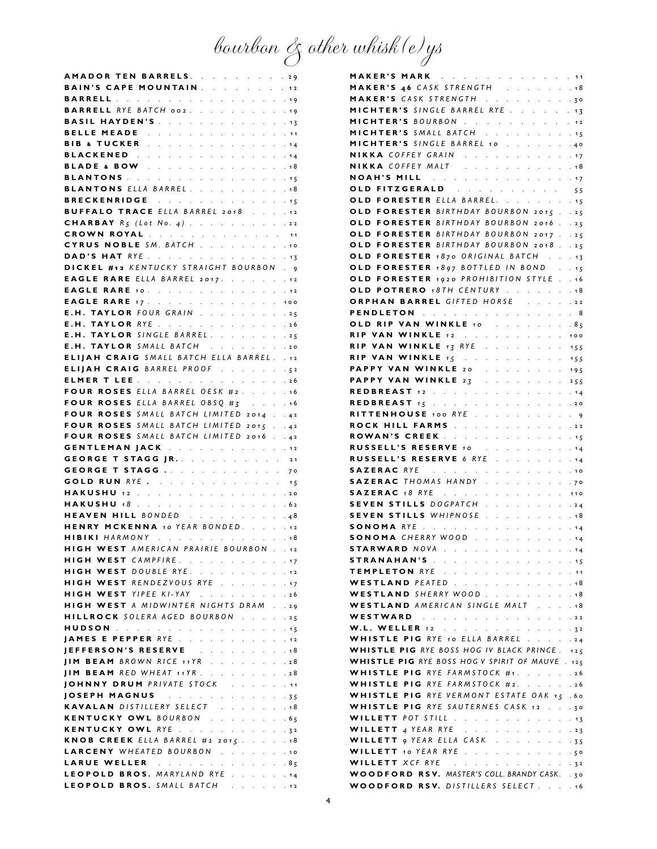bourbon & other whisk(e)ys

| AMADOR TEN BARRELS. 29                                                                                                                                                                                                         |                              |
|--------------------------------------------------------------------------------------------------------------------------------------------------------------------------------------------------------------------------------|------------------------------|
| BAIN'S CAPE MOUNTAIN 12                                                                                                                                                                                                        |                              |
|                                                                                                                                                                                                                                |                              |
| <b>BARRELL</b> RYE BATCH 002.<br>$\mathcal{L}^{\text{max}}$                                                                                                                                                                    | .19                          |
| <b>BASIL HAYDEN'S</b> 13                                                                                                                                                                                                       |                              |
| BELLE MEADE The and a series and a series of the series of the series of the series of the series of the series of the series of the series of the series of the series of the series of the series of the series of the serie | . 11                         |
| <b>BIB &amp; TUCKER</b> 44                                                                                                                                                                                                     |                              |
| BLACKENED<br>$\mathcal{L}^{\text{max}}$                                                                                                                                                                                        | .14                          |
| <b>BLADE &amp; BOW</b> 18                                                                                                                                                                                                      |                              |
| BLANTONS 45                                                                                                                                                                                                                    |                              |
| <b>BLANTONS ELLA BARREL.</b> 18                                                                                                                                                                                                |                              |
|                                                                                                                                                                                                                                |                              |
| BRECKENRIDGE<br>$\mathcal{L}^{\text{max}}$<br>V.<br><b>BUFFALO TRACE</b> ELLA BARREL 2018 12                                                                                                                                   | .15                          |
|                                                                                                                                                                                                                                |                              |
| <b>CHARBAY</b> $R_5$ (Lot No. 4) 22                                                                                                                                                                                            |                              |
| <b>CROWN ROYAL</b> 11                                                                                                                                                                                                          |                              |
| CYRUS NOBLE SM. BATCH 10                                                                                                                                                                                                       |                              |
| DAD'S HAT RYE 13                                                                                                                                                                                                               |                              |
| DICKEL #12 KENTUCKY STRAIGHT BOURBON . 9                                                                                                                                                                                       |                              |
| <b>EAGLE RARE</b> ELLA BARREL 2017. 12                                                                                                                                                                                         |                              |
| <b>EAGLE RARE 10.</b> .                                                                                                                                                                                                        | .12                          |
| <b>EAGLE RARE</b> 17. 100                                                                                                                                                                                                      |                              |
| E.H. TAYLOR FOUR GRAIN                                                                                                                                                                                                         | .25                          |
| TAYLOR RYE 26<br>E.H.                                                                                                                                                                                                          |                              |
| E.H. TAYLOR SINGLE BARREL. 25                                                                                                                                                                                                  |                              |
| E.H. TAYLOR SMALL BATCH 20                                                                                                                                                                                                     |                              |
| <b>ELIJAH CRAIG</b> SMALL BATCH ELLA BARREL. . 12                                                                                                                                                                              |                              |
| ELIJAH CRAIG BARREL PROOF 52                                                                                                                                                                                                   |                              |
| ELMER T LEE<br>$\mathcal{L}^{\text{max}}$                                                                                                                                                                                      | .26                          |
|                                                                                                                                                                                                                                |                              |
| FOUR ROSES ELLA BARREL OESK #2.                                                                                                                                                                                                | .16                          |
| FOUR ROSES ELLA BARREL OBSQ $#_5$                                                                                                                                                                                              | . 16                         |
| FOUR ROSES SMALL BATCH LIMITED 2014.                                                                                                                                                                                           | $\cdot$ 42                   |
|                                                                                                                                                                                                                                | .42                          |
| FOUR ROSES SMALL BATCH LIMITED 2015.                                                                                                                                                                                           |                              |
| FOUR ROSES SMALL BATCH LIMITED 2016 42                                                                                                                                                                                         |                              |
| <b>GENTLEMAN JACK</b> 12                                                                                                                                                                                                       |                              |
| GEORGE T STAGG JR. 21                                                                                                                                                                                                          |                              |
| GEORGE T STAGG<br>$\mathcal{L}^{\text{max}}$<br>$\Delta \sim 10^{11}$ km $^{-1}$                                                                                                                                               | 70                           |
| <b>GOLD RUN</b> RYE 15                                                                                                                                                                                                         |                              |
|                                                                                                                                                                                                                                |                              |
| HAKUSHU 12 20                                                                                                                                                                                                                  |                              |
| HAKUSHU 18 62                                                                                                                                                                                                                  | .48                          |
| HEAVEN HILL BONDED<br>$\mathcal{L}^{\text{max}}$                                                                                                                                                                               |                              |
| HENRY MCKENNA 10 YEAR BONDED. 12                                                                                                                                                                                               |                              |
| HIBIKI HARMONY 18                                                                                                                                                                                                              |                              |
| <b>HIGH WEST AMERICAN PRAIRIE BOURBON</b><br>$\epsilon$                                                                                                                                                                        | .12                          |
| HIGH WEST CAMPFIRE. 17                                                                                                                                                                                                         |                              |
| HIGH WEST DOUBLE RYE.<br>$\mathcal{L}^{\text{max}}$<br>$\mathcal{L}^{\text{max}}$<br>$\mathcal{L}^{\text{max}}$                                                                                                                | .12                          |
| HIGH WEST RENDEZVOUS RYE 17                                                                                                                                                                                                    |                              |
| HIGH WEST YIPEE KI-YAY                                                                                                                                                                                                         | .26                          |
| <b>HIGH WEST</b> A MIDWINTER NIGHTS DRAM.                                                                                                                                                                                      | .29                          |
| HILLROCK SOLERA AGED BOURBON                                                                                                                                                                                                   | .25                          |
| HUDSON CONTRACT CONTRACT CONTRACT                                                                                                                                                                                              | . 15                         |
| JAMES E PEPPER RYE 12                                                                                                                                                                                                          |                              |
| JEFFERSON'S RESERVE<br>$\mathcal{L}^{\pm}$<br>$\mathcal{L}^{\mathcal{L}}$<br>$\mathbb{R}^2$<br>$\mathbf{r}^{\prime}$<br>$\mathcal{L}^{\text{max}}$<br>$\mathcal{L}^{\pm}$                                                      | .18                          |
| <b>IIM BEAM</b> BROWN RICE 11YR<br>$\ddot{\phantom{0}}$<br>$\mathcal{L}^{\text{max}}$<br>$\mathbf{L}$                                                                                                                          | .28                          |
| $\mathcal{L}^{\mathcal{L}}$<br>$\mathcal{L}^{\mathcal{L}}$<br>$\mathcal{L}^{\pm}$                                                                                                                                              |                              |
| JIM BEAM RED WHEAT 11YR.<br>$\sim$<br>$\mathcal{L}^{\pm}$<br>$\mathcal{L}^{\pm}$<br>$\mathcal{L}^{\pm}$                                                                                                                        | .28                          |
| JOHNNY DRUM PRIVATE STOCK.                                                                                                                                                                                                     | .11                          |
| $\mathcal{L}^{\mathcal{L}}$<br>$\mathcal{L}^{\pm}$<br>$\mathbf{r}^{\prime}$<br>÷.<br>V.                                                                                                                                        | $-35$                        |
| KAVALAN DISTILLERY SELECT<br>$\mathcal{L}^{\pm}$<br>$\mathcal{L}^{\pm}$<br>$\mathbf{r}$                                                                                                                                        | . 18                         |
| KENTUCKY OWL BOURBON<br>$\mathbf{r} = \mathbf{r} \times \mathbf{r}$<br>$\mathcal{L}^{\pm}$                                                                                                                                     | .65                          |
| KENTUCKY OWL RYE<br>$\mathcal{L}^{\pm}$                                                                                                                                                                                        | $\cdot \cdot \cdot \cdot 32$ |
| KNOB CREEK ELLA BARREL #2 2015.<br>$\mathcal{L}^{\pm}$<br>$\ddot{\phantom{0}}$<br>$\mathcal{L}^{\pm}$                                                                                                                          | .18                          |
| LARCENY WHEATED BOURBON<br>$\mathcal{L}^{\pm}$<br>$\mathcal{L}^{\text{max}}$                                                                                                                                                   | .10                          |
| LARUE WELLER And a series and a series                                                                                                                                                                                         | . 85                         |
| LEOPOLD BROS. MARYLAND RYE. 14<br>LEOPOLD BROS. SMALL BATCH 12                                                                                                                                                                 |                              |

| MAKER'S MARK 11                                                                                                                                                                         |                 |
|-----------------------------------------------------------------------------------------------------------------------------------------------------------------------------------------|-----------------|
| MAKER'S 46 CASK STRENGTH 18                                                                                                                                                             |                 |
| MAKER'S CASK STRENGTH 30                                                                                                                                                                |                 |
| MICHTER'S SINGLE BARREL RYE. 13                                                                                                                                                         |                 |
| MICHTER'S BOURBON 12                                                                                                                                                                    |                 |
| MICHTER'S SMALL BATCH 15                                                                                                                                                                |                 |
| MICHTER'S SINGLE BARREL 10.<br>$\mathcal{L}^{\mathcal{A}}$ and $\mathcal{L}^{\mathcal{A}}$<br>$\cdot \cdot \cdot \cdot 40$                                                              |                 |
| NIKKA COFFEY GRAIN<br>NIKKA COFFEY MALT                                                                                                                                                 | .17             |
|                                                                                                                                                                                         | .48             |
| <b>NOAH'S MILL And A Report Control of the MILL</b>                                                                                                                                     |                 |
| OLD FITZGERALD 55                                                                                                                                                                       |                 |
| OLD FORESTER ELLA BARREL.                                                                                                                                                               | . 15            |
| OLD FORESTER BIRTHDAY BOURBON 2015.                                                                                                                                                     | .25             |
| OLD FORESTER BIRTHDAY BOURBON 2016.                                                                                                                                                     | .25             |
| OLD FORESTER BIRTHDAY BOURBON 2017.                                                                                                                                                     | .25             |
| FORESTER BIRTHDAY BOURBON 2018.<br>OLD                                                                                                                                                  | .25             |
| OLD FORESTER 1870 ORIGINAL BATCH                                                                                                                                                        | . 13            |
| OLD FORESTER 1897 BOTTLED IN BOND.                                                                                                                                                      | . 15            |
| OLD FORESTER 1920 PROHIBITION STYLE.                                                                                                                                                    | .16             |
| OLD POTRERO 18TH CENTURY                                                                                                                                                                | .48             |
| ORPHAN BARREL GIFTED HORSE                                                                                                                                                              | .22             |
| PENDLETON A REAL PROPERTY AND A REAL                                                                                                                                                    | . 8             |
| OLD RIP VAN WINKLE 10 PARTIES AND LODGED AT A LIBRARY COMMISSION                                                                                                                        | .8 <sub>5</sub> |
| RIP VAN WINKLE 12<br>V.<br>$\mathcal{L}^{\text{max}}$<br>$\mathcal{L}^{\mathcal{L}}$<br>$\ddot{\phantom{0}}$<br>$\mathcal{L}^{\mathcal{L}}$                                             | 100             |
| $\cdot \cdot \cdot$ 155<br><b>RIP VAN WINKLE 13 RYE</b><br>and a state of the                                                                                                           |                 |
| RIP VAN WINKLE $15$<br><b>Contract</b>                                                                                                                                                  | 155             |
| PAPPY VAN WINKLE 20<br>$\sim$<br>$\mathcal{L}^{\text{max}}$<br>$\mathcal{L}^{\text{max}}$<br>$\hat{\mathbf{r}}$                                                                         | 195             |
| PAPPY VAN WINKLE 23<br>$\sim$<br>$\mathbb{Z}^{\mathbb{Z}^{\times}}$<br>L.<br>$\mathcal{L}^{\mathcal{L}}$<br>$\mathbb{R}^{\mathbb{Z}}$<br>L.<br>V.<br>$\mathcal{L}^{\mathcal{L}}$        | 255             |
| REDBREAST 12<br>$\mathcal{L}^{\text{max}}$<br>$\mathcal{L}^{\text{max}}$<br>$\mathcal{L}^{\pm}$<br>$\sim$                                                                               | . 14            |
| <b>REDBREAST</b> $15$<br><b>Contractor</b>                                                                                                                                              | .20             |
| RITTENHOUSE 100 RYE<br>$\mathbf{z} = \mathbf{z} \mathbf{z}$ .                                                                                                                           | .9              |
| ROCK HILL FARMS<br>and a state<br>V.<br>$\mathcal{L}^{\mathcal{L}}$<br>$\mathcal{L}^{\mathcal{L}}$<br>$\mathcal{L}^{\pm}$<br>$\mathcal{L}^{\mathcal{L}}$<br>$\mathcal{L}^{\mathcal{L}}$ | .22             |
| ROWAN'S CREEK<br>and a state of the state<br>$\mathcal{L}^{\text{max}}$<br>$\mathcal{L}^{\text{max}}$                                                                                   | . 15            |
| RUSSELL'S RESERVE 10<br><b>Contract</b>                                                                                                                                                 | . 14            |
|                                                                                                                                                                                         |                 |
| <b>RUSSELL'S RESERVE 6 RYE</b> .<br>$\mathcal{L}^{\pm}$<br>$\sim$<br>t,                                                                                                                 | . 14            |
| SAZERAC RYE<br>$\ddot{\phantom{a}}$<br>$\ddot{\phantom{0}}$<br>$\ddot{\phantom{a}}$<br>i.<br>l.<br>$\mathbf{L}$<br>$\mathcal{L}^{\mathcal{L}}$                                          | .10             |
| SAZERAC THOMAS HANDY<br>$\mathcal{L}^{\text{max}}$<br>$\mathcal{L}^{\text{max}}$                                                                                                        | .70             |
| SAZERAC 18 RYE<br>. 110                                                                                                                                                                 |                 |
| SEVEN STILLS DOGPATCH<br>$\mathcal{L} = \mathcal{L} \times \mathcal{L}$ .<br>$\mathcal{L}^{\text{max}}$<br>$\mathbf{r} = \mathbf{r} \cdot \mathbf{r}$                                   | .24             |
| SEVEN STILLS WHIPNOSE<br>$\ddot{\phantom{a}}$<br>$\ddot{\phantom{a}}$<br>$\mathbf{r}$<br>$\mathbf{r}$<br>$\mathcal{L}^{\pm}$<br>$\mathcal{L}^{\mathcal{L}}$                             | . 18            |
| SONOMA RYE<br>and a state of the                                                                                                                                                        | . 14            |
| SONOMA CHERRY WOOD.<br><b>Contractor</b><br>$\mathcal{L}^{\mathcal{L}}$<br>$\mathcal{L}^{\pm}$<br>and and                                                                               | . 14            |
| STARWARD NOVA                                                                                                                                                                           | . 14            |
| STRANAHAN'S And a company of the set of the 145                                                                                                                                         |                 |
| TEMPLETON RYE                                                                                                                                                                           | . 11            |
| WESTLAND PEATED 48                                                                                                                                                                      |                 |
| WESTLAND SHERRY WOOD 18                                                                                                                                                                 |                 |
| WESTLAND AMERICAN SINGLE MALT<br>$\mathcal{L}^{\text{max}}$                                                                                                                             | .48             |
| WESTWARD<br>$\mathcal{L}^{\mathcal{L}}$                                                                                                                                                 | .22             |
| W.L. WELLER 12 32                                                                                                                                                                       |                 |
| WHISTLE PIG RYE 10 ELLA BARREL 24                                                                                                                                                       |                 |
| WHISTLE PIG RYE BOSS HOG IV BLACK PRINCE. 125                                                                                                                                           |                 |
| <b>WHISTLE PIG</b> RYE BOSS HOG V SPIRIT OF MAUVE . 125                                                                                                                                 |                 |
| WHISTLE PIG RYE FARMSTOCK #1. 26                                                                                                                                                        |                 |
| WHISTLE PIG RYE FARMSTOCK #2. 26                                                                                                                                                        |                 |
| WHISTLE PIG RYE VERMONT ESTATE OAK 15 .60                                                                                                                                               |                 |
| WHISTLE PIG RYE SAUTERNES CASK 12                                                                                                                                                       | .30             |
| WILLETT POT STILL                                                                                                                                                                       | . 13            |
| WILLETT 4 YEAR RYE 23                                                                                                                                                                   |                 |
| WILLETT 9 YEAR ELLA CASK 35                                                                                                                                                             |                 |
| WILLETT 10 YEAR RYE 50                                                                                                                                                                  |                 |
| WILLETT XCF RYE 32<br>WOODFORD RSV. MASTER'S COLL. BRANDY CASK. . 30                                                                                                                    |                 |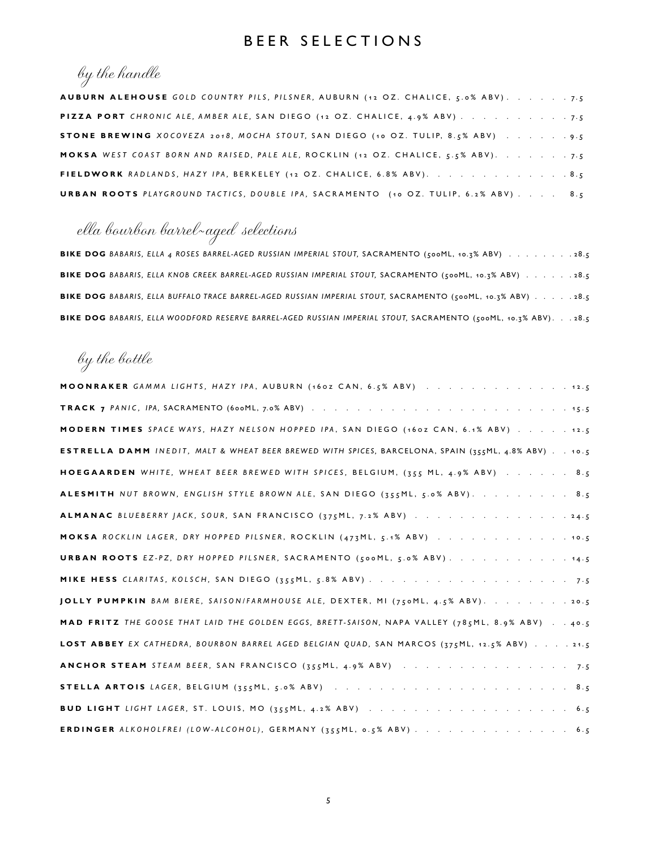### BEER SELECTIONS

## by the handle

| <b>AUBURN ALEHOUSE</b> GOLD COUNTRY PILS, PILSNER, AUBURN (12 OZ. CHALICE, 5.0% ABV). 7.5  |  |  |  |  |  |  |  |  |  |  |  |  |
|--------------------------------------------------------------------------------------------|--|--|--|--|--|--|--|--|--|--|--|--|
|                                                                                            |  |  |  |  |  |  |  |  |  |  |  |  |
| STONE BREWING XOCOVEZA 2018, MOCHA STOUT, SAN DIEGO (10 OZ. TULIP, 8.5% ABV) 9.5           |  |  |  |  |  |  |  |  |  |  |  |  |
| <b>MOKSA</b> WEST COAST BORN AND RAISED, PALE ALE, ROCKLIN (12 OZ. CHALICE, 5.5% ABV). 7.5 |  |  |  |  |  |  |  |  |  |  |  |  |
| FIELDWORK RADLANDS, HAZY IPA, BERKELEY (12 OZ. CHALICE, 6.8% ABV). 8.5                     |  |  |  |  |  |  |  |  |  |  |  |  |
| <b>URBAN ROOTS</b> PLAYGROUND TACTICS, DOUBLE IPA, SACRAMENTO (10 OZ. TULIP, 6.2% ABV) 8.5 |  |  |  |  |  |  |  |  |  |  |  |  |

# ella bourbon barrel-aged selections

|  |  | BIKE DOG BABARIS, ELLA 4 ROSES BARREL-AGED RUSSIAN IMPERIAL STOUT, SACRAMENTO (500ML, 10.7% ABV) 28.5              |  |  |  |  |  |  |
|--|--|--------------------------------------------------------------------------------------------------------------------|--|--|--|--|--|--|
|  |  | BIKE DOG BABARIS, ELLA KNOB CREEK BARREL-AGED RUSSIAN IMPERIAL STOUT, SACRAMENTO (500ML, 10.7% ABV) 28.5           |  |  |  |  |  |  |
|  |  | <b>BIKE DOG</b> BABARIS, ELLA BUFFALO TRACE BARREL-AGED RUSSIAN IMPERIAL STOUT, SACRAMENTO (500ML, 10.7% ABV) 28.5 |  |  |  |  |  |  |
|  |  | BIKE DOG BABARIS, ELLA WOODFORD RESERVE BARREL-AGED RUSSIAN IMPERIAL STOUT, SACRAMENTO (500ML, 10.7% ABV). 28.5    |  |  |  |  |  |  |

## by the bottle

| <b>MOONRAKER</b> GAMMA LIGHTS, HAZY IPA, AUBURN (160Z CAN, 6.5% ABV) 12.5                                  |
|------------------------------------------------------------------------------------------------------------|
|                                                                                                            |
| MODERN TIMES SPACE WAYS, HAZY NELSON HOPPED IPA, SAN DIEGO (160Z CAN, 6.1% ABV) 12.5                       |
| <b>ESTRELLA DAMM</b> INEDIT, MALT & WHEAT BEER BREWED WITH SPICES, BARCELONA, SPAIN (355ML, 4.8% ABV) 10.5 |
| HOEGAARDEN WHITE, WHEAT BEER BREWED WITH SPICES, BELGIUM, (355 ML, 4.9% ABV) 8.5                           |
| ALESMITH NUT BROWN, ENGLISH STYLE BROWN ALE, SAN DIEGO (355ML, 5.0% ABV). 8.5                              |
| <b>ALMANAC</b> BLUEBERRY JACK, SOUR, SAN FRANCISCO (375ML, 7.2% ABV) 24.5                                  |
| MOKSA ROCKLIN LAGER, DRY HOPPED PILSNER, ROCKLIN (473ML, 5.1% ABV) 10.5                                    |
| URBAN ROOTS EZ-PZ, DRY HOPPED PILSNER, SACRAMENTO (500ML, 5.0% ABV). 14.5                                  |
|                                                                                                            |
| <b>JOLLY PUMPKIN</b> BAM BIERE, SAISON/FARMHOUSE ALE, DEXTER, MI (750ML, 4.5% ABV). 20.5                   |
| MAD FRITZ THE GOOSE THAT LAID THE GOLDEN EGGS, BRETT-SAISON, NAPA VALLEY (785ML, 8.9% ABV) 40.5            |
| LOST ABBEY EX CATHEDRA, BOURBON BARREL AGED BELGIAN QUAD, SAN MARCOS (375ML, 12.5% ABV) 21.5               |
| <b>ANCHOR STEAM</b> STEAM BEER, SAN FRANCISCO (355ML, 4.9% ABV) 7.5                                        |
|                                                                                                            |
|                                                                                                            |
| ERDINGER ALKOHOLFREI (LOW-ALCOHOL), GERMANY (355ML, 0.5% ABV) 6.5                                          |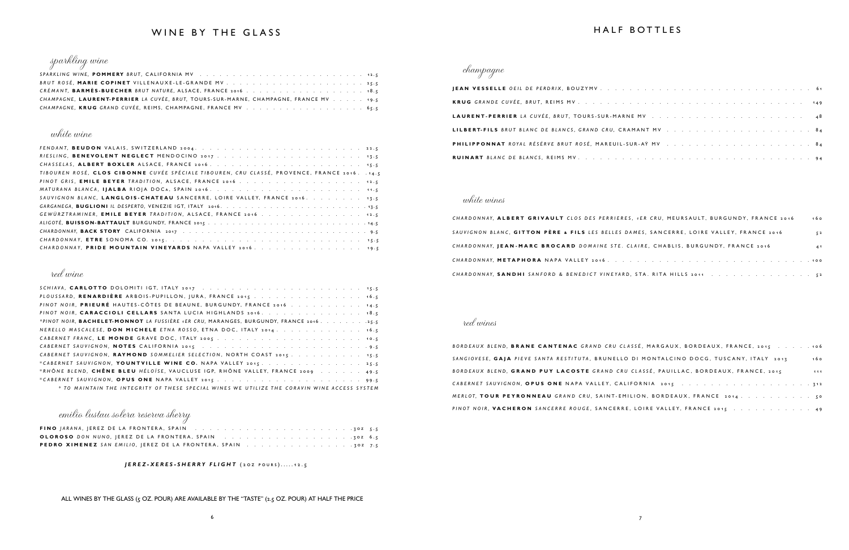#### WINE BY THE GLASS



| CHAMPAGNE, LAURENT-PERRIER LA CUVÉE, BRUT, TOURS-SUR-MARNE, CHAMPAGNE, FRANCE MV 19.5 |  |  |
|---------------------------------------------------------------------------------------|--|--|
|                                                                                       |  |  |

#### white wine

| TIBOUREN ROSÉ, CLOS CIBONNE CUVÉE SPÉCIALE TIBOUREN, CRU CLASSÉ, PROVENCE, FRANCE 2016. 14.5 |
|----------------------------------------------------------------------------------------------|
|                                                                                              |
|                                                                                              |
| SAUVIGNON BLANC, LANGLOIS-CHATEAU SANCERRE, LOIRE VALLEY, FRANCE 2016. 13.5                  |
|                                                                                              |
| GEWÜRZTRAMINER, EMILE BEYER TRADITION, ALSACE, FRANCE 2016 12.5                              |
|                                                                                              |
|                                                                                              |
|                                                                                              |
| CHARDONNAY. PRIDE MOUNTAIN VINEYARDS NAPA VALLEY 2016. 19.5                                  |
|                                                                                              |

#### red wine

| PLOUSSARD, RENARDIÈRE ARBOIS-PUPILLON, JURA, FRANCE 2015. 16.5                               |  |
|----------------------------------------------------------------------------------------------|--|
| PINOT NOIR. PRIEURÉ HAUTES-CÔTES DE BEAUNE, BURGUNDY, FRANCE 2016 14.5                       |  |
| PINOT NOIR, CARACCIOLI CELLARS SANTA LUCIA HIGHLANDS 2016. 18.5                              |  |
| *PINOT NOIR, BACHELET-MONNOT LA FUSSIÈRE 1ER CRU, MARANGES, BURGUNDY, FRANCE 2016. 25.5      |  |
| NERELLO MASCALESE, DON MICHELE ETNA ROSSO, ETNA DOC, ITALY 2014. 16.5                        |  |
|                                                                                              |  |
|                                                                                              |  |
| CABERNET SAUVIGNON, RAYMOND SOMMELIER SELECTION, NORTH COAST 2015 15.5                       |  |
| *CABERNET SAUVIGNON, YOUNTVILLE WINE CO. NAPA VALLEY 2015. 25.5                              |  |
| *RHÔNE BLEND. CHÊNE BLEU HÉLOÏSE, VAUCLUSE IGP, RHÔNE VALLEY, FRANCE 2009 49.5               |  |
|                                                                                              |  |
| * TO MAINTAIN THE INTEGRITY OF THESE SPECIAL WINES WE UTILIZE THE CORAVIN WINE ACCESS SYSTEM |  |

emilio lustau solera reserva sherry

| <b>PEDRO XIMENEZ</b> SAN EMILIO, JEREZ DE LA FRONTERA, SPAIN 30Z 7.5 |  |  |  |  |  |  |  |
|----------------------------------------------------------------------|--|--|--|--|--|--|--|

#### *JEREZ-XERES-SHERRY FLIGHT* (2oz pours).....12.5

ALL WINES BY THE GLASS  $(s$  OZ. POUR) ARE AVAILABLE BY THE "TASTE"  $(z.\overline{s}$  OZ. POUR) AT HALF THE PRICE

#### HALF BOTTLES

| ES, 1ER CRU, MEURSAULT, BURGUNDY, FRANCE 2016 | 16 <sup>o</sup> |
|-----------------------------------------------|-----------------|
| DAMES, SANCERRE, LOIRE VALLEY, FRANCE 2016    | 52              |
| CLAIRE, CHABLIS, BURGUNDY, FRANCE 2016        | 41              |
|                                               |                 |
| D, STA. RITA HILLS 2011 52                    |                 |

| LASSÉ, MARGAUX, BORDEAUX, FRANCE, 2015 106 |     |
|--------------------------------------------|-----|
| O DI MONTALCINO DOCG, TUSCANY, ITALY 2013  | 160 |
| U CLASSÉ, PAUILLAC, BORDEAUX, FRANCE, 2015 | 111 |
| LIFORNIA 2015 312                          |     |
| 11LION, BORDEAUX, FRANCE 2014 50           |     |
| E, LOIRE VALLEY, FRANCE 2015 49            |     |

### champagne

**JEAN VESSELLE** OEIL DE PERDRIX, BOUZYMV. . . . **KRUG** GRANDE CUVÉE, BRUT, REIMS MV . . . . . . . LAURENT-PERRIER *LA CUVÉE, BRUT, TOURS-SUR-MAR* LILBERT-FILS BRUT BLANC DE BLANCS, GRAND CRU, CR **PHILIPPONNAT** ROYAL RÉSÉRVE BRUT ROSÉ, MAREUIL-**RUINART** BLANC DE BLANCS, REIMS MV. . . . . . .

#### white wines

*CHARDONNAY*, **ALBERT GRIVAULT** *CLOS DES PERRIERE* SAUVIGNON BLANC, GITTON PÈRE & FILS LES BELLES CHARDONNAY, **JEAN-MARC BROCARD** DOMAINE STE. *CHARDONNAY*, **METAPHORA** NAPA VALLEY 2016. . . *CHARDONNAY*, **SANDHI** SANFORD & BENEDICT VINEYAR

#### red wines

BORDEAUX BLEND, **BRANE CANTENAC** GRAND CRU CL SANGIOVESE, GAJA PIEVE SANTA RESTITUTA, BRUNELL BORDEAUX BLEND, GRAND PUY LACOSTE GRAND CR *CABERNET SAUVIGNON, OPUS ONE NAPA VALLEY, CA MERLOT*, **TOUR PEYRONNEAU** *GRAND CRU*, SAINT-EM *PINOT NOIR*, **VACHERON** SANCERRE ROUGE, SANCERR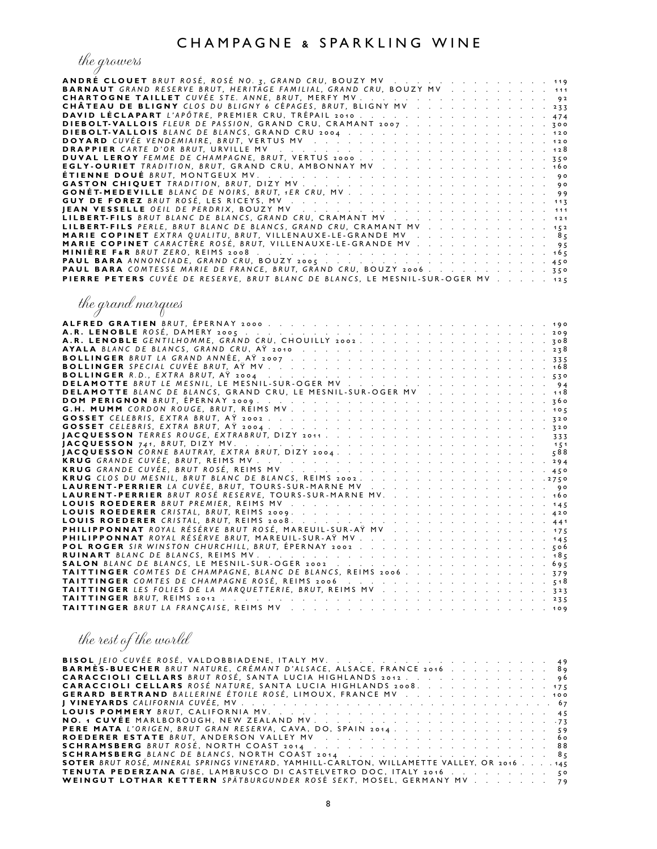### the growers

| <b>ANDRÉ CLOUET</b> BRUT ROSÉ, ROSÉ NO. 3, GRAND CRU, BOUZY MV 119              |  |  |  |  |  |  |  |  |  |  |  |  |  |  |  |  |  |  |  |  |
|---------------------------------------------------------------------------------|--|--|--|--|--|--|--|--|--|--|--|--|--|--|--|--|--|--|--|--|
| <b>BARNAUT</b> GRAND RESERVE BRUT, HERITAGE FAMILIAL, GRAND CRU, BOUZY MV 111   |  |  |  |  |  |  |  |  |  |  |  |  |  |  |  |  |  |  |  |  |
|                                                                                 |  |  |  |  |  |  |  |  |  |  |  |  |  |  |  |  |  |  |  |  |
| CHÂTEAU DE BLIGNY CLOS DU BLIGNY 6 CÉPAGES, BRUT, BLIGNY MV 233                 |  |  |  |  |  |  |  |  |  |  |  |  |  |  |  |  |  |  |  |  |
|                                                                                 |  |  |  |  |  |  |  |  |  |  |  |  |  |  |  |  |  |  |  |  |
| DIEBOLT-VALLOIS FLEUR DE PASSION, GRAND CRU, CRAMANT 2007 300                   |  |  |  |  |  |  |  |  |  |  |  |  |  |  |  |  |  |  |  |  |
|                                                                                 |  |  |  |  |  |  |  |  |  |  |  |  |  |  |  |  |  |  |  |  |
|                                                                                 |  |  |  |  |  |  |  |  |  |  |  |  |  |  |  |  |  |  |  |  |
|                                                                                 |  |  |  |  |  |  |  |  |  |  |  |  |  |  |  |  |  |  |  |  |
|                                                                                 |  |  |  |  |  |  |  |  |  |  |  |  |  |  |  |  |  |  |  |  |
|                                                                                 |  |  |  |  |  |  |  |  |  |  |  |  |  |  |  |  |  |  |  |  |
| EGLY-OURIET TRADITION, BRUT, GRAND CRU, AMBONNAY MV 160                         |  |  |  |  |  |  |  |  |  |  |  |  |  |  |  |  |  |  |  |  |
|                                                                                 |  |  |  |  |  |  |  |  |  |  |  |  |  |  |  |  |  |  |  |  |
|                                                                                 |  |  |  |  |  |  |  |  |  |  |  |  |  |  |  |  |  |  |  |  |
|                                                                                 |  |  |  |  |  |  |  |  |  |  |  |  |  |  |  |  |  |  |  |  |
|                                                                                 |  |  |  |  |  |  |  |  |  |  |  |  |  |  |  |  |  |  |  |  |
|                                                                                 |  |  |  |  |  |  |  |  |  |  |  |  |  |  |  |  |  |  |  |  |
| LILBERT-FILS BRUT BLANC DE BLANCS, GRAND CRU, CRAMANT MV 121                    |  |  |  |  |  |  |  |  |  |  |  |  |  |  |  |  |  |  |  |  |
| LILBERT-FILS PERLE, BRUT BLANC DE BLANCS, GRAND CRU, CRAMANT MV 152             |  |  |  |  |  |  |  |  |  |  |  |  |  |  |  |  |  |  |  |  |
| <b>MARIE COPINET</b> EXTRA QUALITU, BRUT, VILLENAUXE-LE-GRANDE MV 85            |  |  |  |  |  |  |  |  |  |  |  |  |  |  |  |  |  |  |  |  |
| <b>MARIE COPINET</b> CARACTERE ROSE, BRUT, VILLENAUXE-LE-GRANDE MV 95           |  |  |  |  |  |  |  |  |  |  |  |  |  |  |  |  |  |  |  |  |
|                                                                                 |  |  |  |  |  |  |  |  |  |  |  |  |  |  |  |  |  |  |  |  |
|                                                                                 |  |  |  |  |  |  |  |  |  |  |  |  |  |  |  |  |  |  |  |  |
| PAUL BARA COMTESSE MARIE DE FRANCE, BRUT, GRAND CRU, BOUZY 2006. 350            |  |  |  |  |  |  |  |  |  |  |  |  |  |  |  |  |  |  |  |  |
|                                                                                 |  |  |  |  |  |  |  |  |  |  |  |  |  |  |  |  |  |  |  |  |
| PIERRE PETERS CUVÉE DE RESERVE, BRUT BLANC DE BLANCS, LE MESNIL-SUR-OGER MV 125 |  |  |  |  |  |  |  |  |  |  |  |  |  |  |  |  |  |  |  |  |

the grand marques

| <b>DELAMOTTE BLANC DE BLANCS, GRAND CRU, LE MESNIL-SUR-OGER MV 118</b> |
|------------------------------------------------------------------------|
|                                                                        |
|                                                                        |
|                                                                        |
|                                                                        |
|                                                                        |
| JACQUESSON 741, BRUT, DIZY MV.<br>151                                  |
|                                                                        |
|                                                                        |
|                                                                        |
|                                                                        |
|                                                                        |
|                                                                        |
|                                                                        |
|                                                                        |
|                                                                        |
|                                                                        |
|                                                                        |
| POL ROGER SIR WINSTON CHURCHILL, BRUT, ÉPERNAY 2002                    |
|                                                                        |
|                                                                        |
| <b>TAITTINGER</b> COMTES DE CHAMPAGNE, BLANC DE BLANCS, REIMS 2006     |
| TAITTINGER COMTES DE CHAMPAGNE ROSÉ, REIMS 2006                        |
| TAITTINGER LES FOLIES DE LA MARQUETTERIE, BRUT, REIMS MV 323           |
|                                                                        |
|                                                                        |

### the rest of the world

| BARMÈS-BUECHER BRUT NATURE, CRÉMANT D'ALSACE, ALSACE, FRANCE 2016 89                       |  |
|--------------------------------------------------------------------------------------------|--|
| CARACCIOLI CELLARS BRUT ROSÉ, SANTA LUCIA HIGHLANDS 2012. 96                               |  |
| <b>CARACCIOLI CELLARS</b> ROSÉ NATURE, SANTA LUCIA HIGHLANDS 2008. 175                     |  |
| GERARD BERTRAND BALLERINE ÉTOILE ROSÉ, LIMOUX, FRANCE MV 100                               |  |
|                                                                                            |  |
|                                                                                            |  |
|                                                                                            |  |
| PERE MATA L'ORIGEN, BRUT GRAN RESERVA, CAVA, DO, SPAIN 2014. 59                            |  |
|                                                                                            |  |
|                                                                                            |  |
| <b>SCHRAMSBERG</b> BLANC DE BLANCS, NORTH COAST 2014 85                                    |  |
| SOTER BRUT ROSÉ, MINERAL SPRINGS VINEYARD, YAMHILL-CARLTON, WILLAMETTE VALLEY, OR 2016 145 |  |
|                                                                                            |  |
| WEINGUT LOTHAR KETTERN SPÄTBURGUNDER ROSÉ SEKT, MOSEL, GERMANY MV 79                       |  |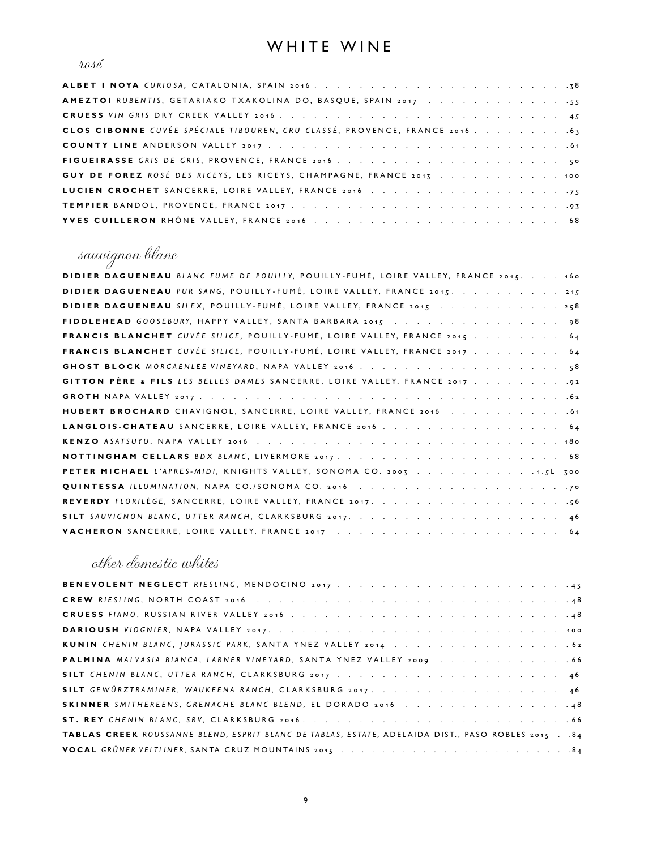### WHITE WINE

#### $\iota a s \acute{e}$

| GUY DE FOREZ ROSÉ DES RICEYS, LES RICEYS, CHAMPAGNE, FRANCE 2013 100 |
|----------------------------------------------------------------------|
|                                                                      |
|                                                                      |
|                                                                      |

## sauvignon blanc

| DIDIER DAGUENEAU BLANC FUME DE POUILLY, POUILLY-FUMÉ, LOIRE VALLEY, FRANCE 2015. 160 |
|--------------------------------------------------------------------------------------|
| DIDIER DAGUENEAU PUR SANG, POUILLY-FUMÉ, LOIRE VALLEY, FRANCE 2015. 215              |
| DIDIER DAGUENEAU SILEX, POUILLY-FUMÉ, LOIRE VALLEY, FRANCE 2015 258                  |
| FIDDLEHEAD GOOSEBURY, HAPPY VALLEY, SANTA BARBARA 2015 98                            |
| FRANCIS BLANCHET CUVÉE SILICE, POUILLY-FUMÉ, LOIRE VALLEY, FRANCE 2015 64            |
| <b>FRANCIS BLANCHET</b> CUVÉE SILICE, POUILLY-FUMÉ, LOIRE VALLEY, FRANCE 2017 64     |
|                                                                                      |
| GITTON PÈRE & FILS LES BELLES DAMES SANCERRE, LOIRE VALLEY, FRANCE 2017 92           |
|                                                                                      |
|                                                                                      |
|                                                                                      |
|                                                                                      |
|                                                                                      |
| PETER MICHAEL L'APRES-MIDI, KNIGHTS VALLEY, SONOMA CO. 2003 1.5L 300                 |
|                                                                                      |
|                                                                                      |
|                                                                                      |
|                                                                                      |

### other domestic whites

| PALMINA MALVASIA BIANCA, LARNER VINEYARD, SANTA YNEZ VALLEY 2009 66                               |
|---------------------------------------------------------------------------------------------------|
|                                                                                                   |
| SILT GEWÜRZTRAMINER, WAUKEENA RANCH, CLARKSBURG 2017. 46                                          |
| SKINNER SMITHEREENS, GRENACHE BLANC BLEND, EL DORADO 2016 48                                      |
|                                                                                                   |
| TABLAS CREEK ROUSSANNE BLEND, ESPRIT BLANC DE TABLAS, ESTATE, ADELAIDA DIST., PASO ROBLES 2015 84 |
|                                                                                                   |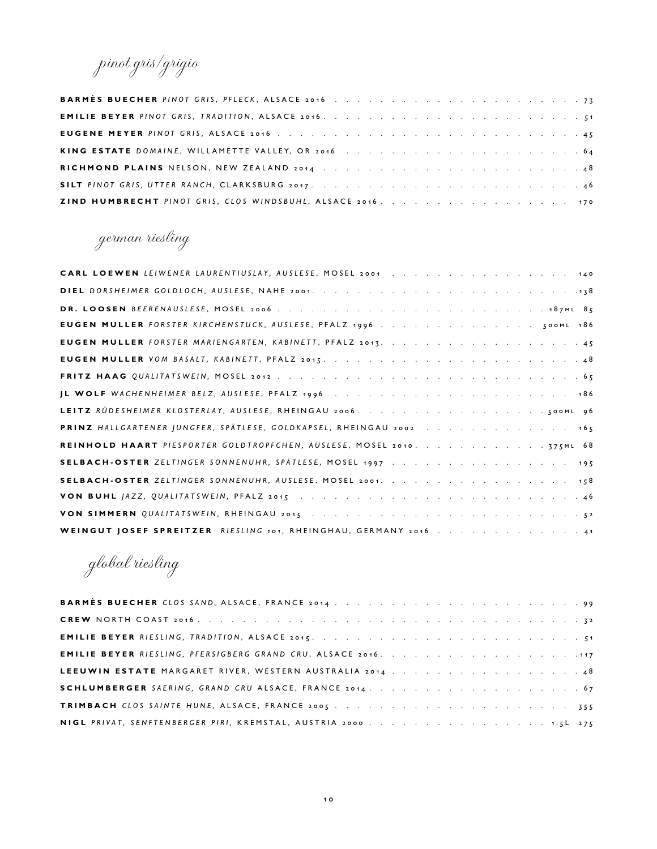pinot gris/grigio

german riesling

| CARL LOEWEN LEIWENER LAURENTIUSLAY, AUSLESE, MOSEL 2001 140         |
|---------------------------------------------------------------------|
|                                                                     |
|                                                                     |
| EUGEN MULLER FORSTER KIRCHENSTUCK, AUSLESE, PFALZ 1996 500ML 186    |
|                                                                     |
|                                                                     |
|                                                                     |
|                                                                     |
|                                                                     |
| PRINZ HALLGARTENER JUNGFER, SPÄTLESE, GOLDKAPSEL, RHEINGAU 2002 165 |
|                                                                     |
|                                                                     |
|                                                                     |
|                                                                     |
|                                                                     |
| WEINGUT JOSEF SPREITZER RIESLING 101, RHEINGHAU, GERMANY 2016 41    |

global riesling

| LEEUWIN ESTATE MARGARET RIVER, WESTERN AUSTRALIA 2014 48          |  |
|-------------------------------------------------------------------|--|
|                                                                   |  |
|                                                                   |  |
| NIGL PRIVAT, SENFTENBERGER PIRI, KREMSTAL, AUSTRIA 2000. 1.5L 275 |  |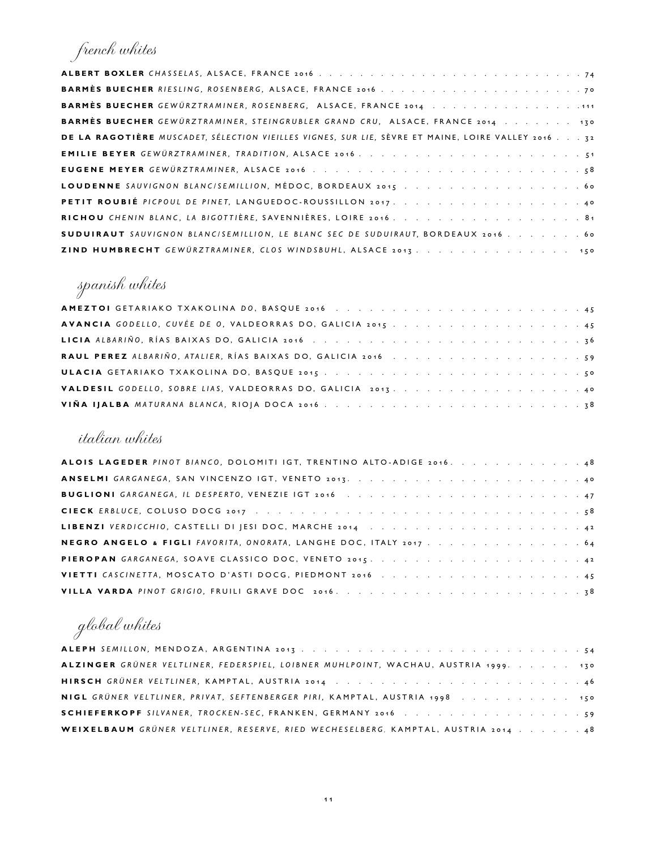## french whites

| <b>BARMÈS BUECHER GEWÜRZTRAMINER, ROSENBERG, ALSACE, FRANCE 2014</b> 111                           |
|----------------------------------------------------------------------------------------------------|
| BARMÈS BUECHER GEWÜRZTRAMINER, STEINGRUBLER GRAND CRU, ALSACE, FRANCE 2014 130                     |
| DE LA RAGOTIÈRE MUSCADET, SÉLECTION VIEILLES VIGNES, SUR LIE, SÈVRE ET MAINE, LOIRE VALLEY 2016 32 |
|                                                                                                    |
|                                                                                                    |
|                                                                                                    |
|                                                                                                    |
| RICHOU CHENIN BLANC, LA BIGOTTIÈRE, SAVENNIÈRES, LOIRE 2016. 81                                    |
| SUDUIRAUT SAUVIGNON BLANC/SEMILLION, LE BLANC SEC DE SUDUIRAUT, BORDEAUX 2016. 60                  |
| ZIND HUMBRECHT GEWÜRZTRAMINER, CLOS WINDSBUHL, ALSACE 2013 150                                     |

# spanish whites

### italian whites

| ALOIS LAGEDER PINOT BIANCO, DOLOMITI IGT, TRENTINO ALTO-ADIGE 2016. 48 |  |  |  |  |  |  |  |
|------------------------------------------------------------------------|--|--|--|--|--|--|--|
|                                                                        |  |  |  |  |  |  |  |
|                                                                        |  |  |  |  |  |  |  |
|                                                                        |  |  |  |  |  |  |  |
|                                                                        |  |  |  |  |  |  |  |
| NEGRO ANGELO & FIGLI FAVORITA, ONORATA, LANGHE DOC, ITALY 2017 64      |  |  |  |  |  |  |  |
|                                                                        |  |  |  |  |  |  |  |
| VIETTI CASCINETTA, MOSCATO D'ASTI DOCG, PIEDMONT 2016 45               |  |  |  |  |  |  |  |
|                                                                        |  |  |  |  |  |  |  |

# global whites

| ALZINGER GRÜNER VELTLINER, FEDERSPIEL, LOIBNER MUHLPOINT, WACHAU, AUSTRIA 1999. 130 |  |  |  |
|-------------------------------------------------------------------------------------|--|--|--|
|                                                                                     |  |  |  |
| NIGL GRÜNER VELTLINER, PRIVAT, SEFTENBERGER PIRI, KAMPTAL, AUSTRIA 1998 150         |  |  |  |
|                                                                                     |  |  |  |
| WEIXELBAUM GRÜNER VELTLINER, RESERVE, RIED WECHESELBERG, KAMPTAL, AUSTRIA 2014 48   |  |  |  |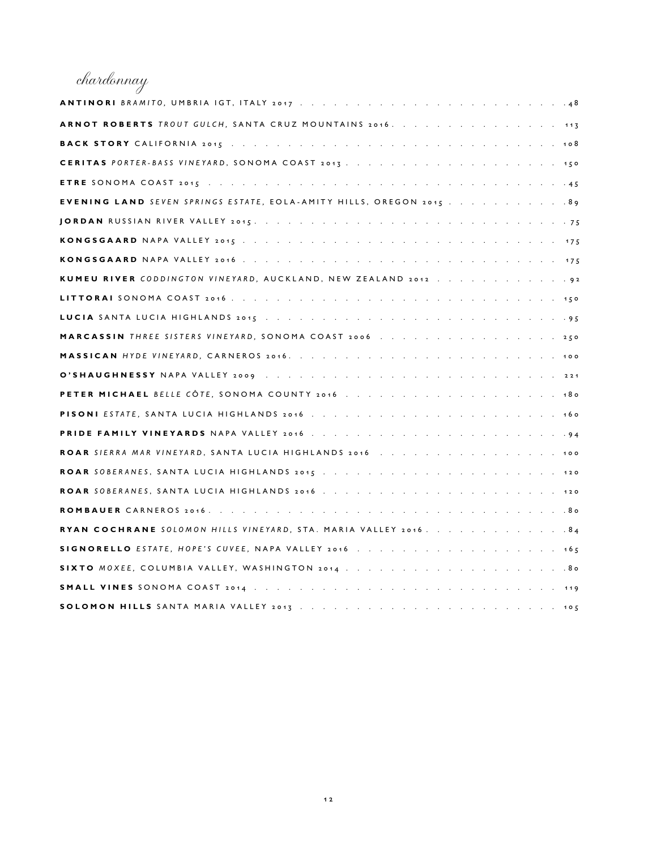# chardonnay

| ARNOT ROBERTS TROUT GULCH, SANTA CRUZ MOUNTAINS 2016. 113           |
|---------------------------------------------------------------------|
|                                                                     |
|                                                                     |
|                                                                     |
| EVENING LAND SEVEN SPRINGS ESTATE, EOLA-AMITY HILLS, OREGON 2015 99 |
|                                                                     |
|                                                                     |
|                                                                     |
| KUMEU RIVER CODDINGTON VINEYARD, AUCKLAND, NEW ZEALAND 2012 92      |
|                                                                     |
|                                                                     |
|                                                                     |
|                                                                     |
|                                                                     |
|                                                                     |
|                                                                     |
|                                                                     |
|                                                                     |
|                                                                     |
|                                                                     |
|                                                                     |
| RYAN COCHRANE SOLOMON HILLS VINEYARD, STA. MARIA VALLEY 2016. 84    |
|                                                                     |
|                                                                     |
|                                                                     |
| <b>SOLOMON HILLS</b> SANTA MARIA VALLEY 2013<br>105                 |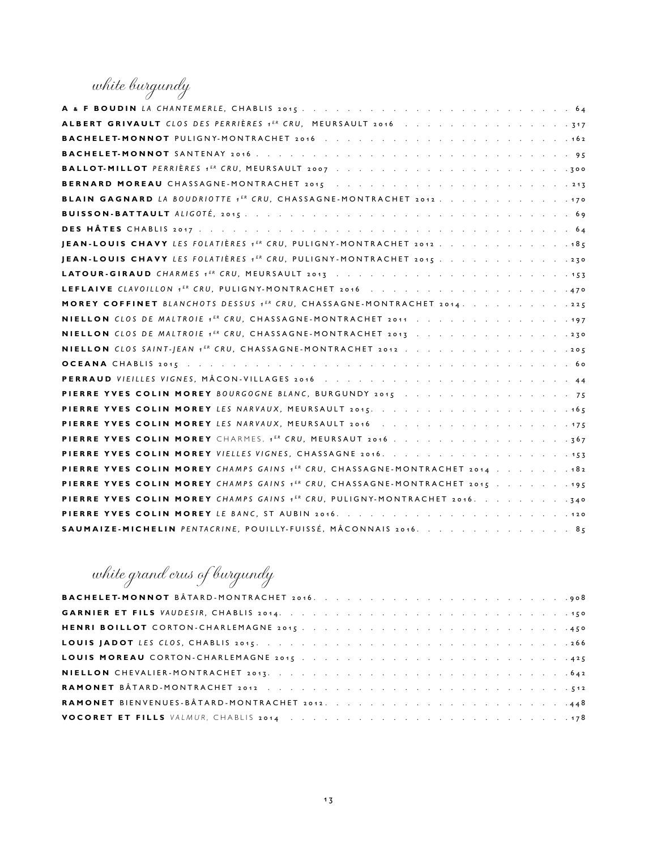white burgundy

| ALBERT GRIVAULT CLOS DES PERRIÈRES 1 <sup>ER</sup> CRU, MEURSAULT 2016 317              |
|-----------------------------------------------------------------------------------------|
|                                                                                         |
|                                                                                         |
|                                                                                         |
|                                                                                         |
| BLAIN GAGNARD LA BOUDRIOTTE 1ER CRU, CHASSAGNE-MONTRACHET 2012. 170                     |
|                                                                                         |
|                                                                                         |
| JEAN-LOUIS CHAVY LES FOLATIÈRES 1 <sup>ER</sup> CRU, PULIGNY-MONTRACHET 2012 185        |
| JEAN-LOUIS CHAVY LES FOLATIÈRES 1 <sup>ER</sup> CRU, PULIGNY-MONTRACHET 2015 230        |
|                                                                                         |
|                                                                                         |
| MOREY COFFINET BLANCHOTS DESSUS 1ER CRU, CHASSAGNE-MONTRACHET 2014. 225                 |
| NIELLON CLOS DE MALTROIE 1ER CRU, CHASSAGNE-MONTRACHET 2011 197                         |
| NIELLON CLOS DE MALTROIE 1ER CRU, CHASSAGNE-MONTRACHET 2013 230                         |
| NIELLON CLOS SAINT-JEAN 1ER CRU, CHASSAGNE-MONTRACHET 2012 205                          |
|                                                                                         |
|                                                                                         |
| PIERRE YVES COLIN MOREY BOURGOGNE BLANC, BURGUNDY 2015 75                               |
|                                                                                         |
|                                                                                         |
|                                                                                         |
|                                                                                         |
| PIERRE YVES COLIN MOREY CHAMPS GAINS 1ER CRU, CHASSAGNE-MONTRACHET 2014 182             |
| PIERRE YVES COLIN MOREY CHAMPS GAINS 1 <sup>ER</sup> CRU, CHASSAGNE-MONTRACHET 2015 195 |
| PIERRE YVES COLIN MOREY CHAMPS GAINS 1ER CRU, PULIGNY-MONTRACHET 2016. 340              |
|                                                                                         |
| SAUMAIZE-MICHELIN PENTACRINE, POUILLY-FUISSÉ, MÂCONNAIS 2016. 85                        |

# white grand crus of burgundy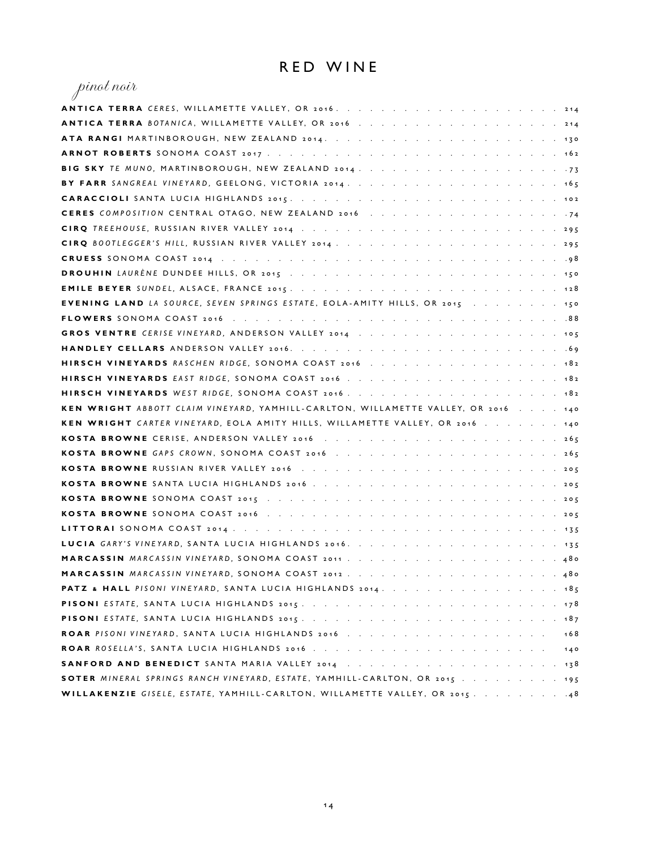### RED WINE

| pinot noir                                                                          |
|-------------------------------------------------------------------------------------|
|                                                                                     |
|                                                                                     |
|                                                                                     |
|                                                                                     |
|                                                                                     |
|                                                                                     |
|                                                                                     |
|                                                                                     |
|                                                                                     |
|                                                                                     |
|                                                                                     |
|                                                                                     |
|                                                                                     |
| EVENING LAND LA SOURCE, SEVEN SPRINGS ESTATE, EOLA-AMITY HILLS, OR 2015 150         |
|                                                                                     |
|                                                                                     |
|                                                                                     |
| HIRSCH VINEYARDS RASCHEN RIDGE, SONOMA COAST 2016 182                               |
|                                                                                     |
|                                                                                     |
| KEN WRIGHT ABBOTT CLAIM VINEYARD, YAMHILL-CARLTON, WILLAMETTE VALLEY, OR 2016 140   |
|                                                                                     |
| <b>KEN WRIGHT</b> CARTER VINEYARD, EOLA AMITY HILLS, WILLAMETTE VALLEY, OR 2016 140 |
|                                                                                     |
|                                                                                     |
|                                                                                     |
|                                                                                     |
|                                                                                     |
|                                                                                     |
|                                                                                     |
|                                                                                     |
|                                                                                     |
|                                                                                     |
| PATZ & HALL PISONI VINEYARD, SANTA LUCIA HIGHLANDS 2014. 185                        |
|                                                                                     |
|                                                                                     |
| 168                                                                                 |
| 140                                                                                 |
|                                                                                     |
| SOTER MINERAL SPRINGS RANCH VINEYARD, ESTATE, YAMHILL-CARLTON, OR 2015 195          |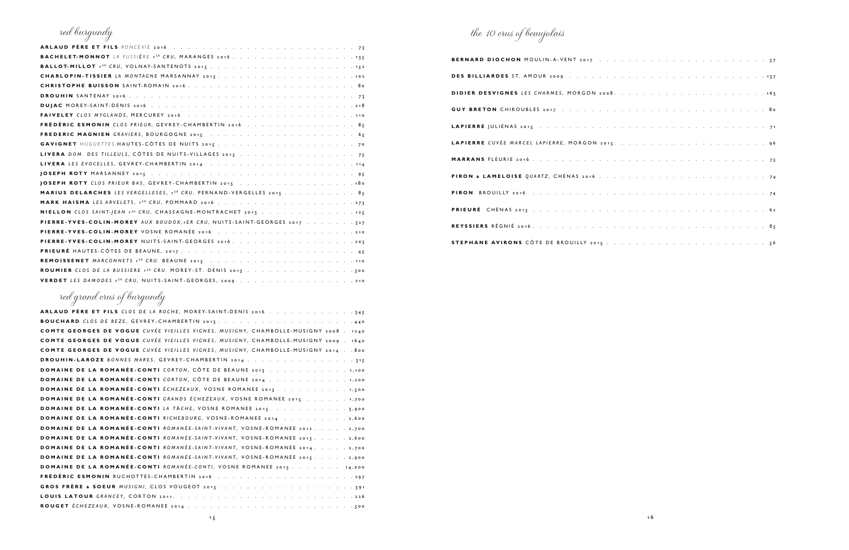| red burgundy                                                                            |
|-----------------------------------------------------------------------------------------|
|                                                                                         |
|                                                                                         |
|                                                                                         |
|                                                                                         |
|                                                                                         |
|                                                                                         |
|                                                                                         |
|                                                                                         |
| FRÉDÉRIC ESMONIN CLOS PRIEUR, GEVREY-CHAMBERTIN 2016 85                                 |
|                                                                                         |
|                                                                                         |
| LIVERA DOM. DES TILLEULS, CÔTES DE NUITS-VILLAGES 2015 75                               |
|                                                                                         |
|                                                                                         |
|                                                                                         |
| <b>MARIUS DELARCHES</b> LES VERGELLESES, 1 <sup>ER</sup> CRU, PERNAND-VERGELLES 2015 85 |
|                                                                                         |
| NIELLON CLOS SAINT-JEAN 1ER CRU, CHASSAGNE-MONTRACHET 2013 125                          |
| PIERRE-YVES-COLIN-MOREY AUX BOUDOX,1ER CRU, NUITS-SAINT-GEORGES 2017 327                |
|                                                                                         |
| PIERRE-YVES-COLIN-MOREY NUITS-SAINT-GEORGES 2016. 207                                   |
|                                                                                         |
|                                                                                         |
| ROUMIER CLOS DE LA BUSSIERE 1ER CRU, MOREY-ST. DENIS 2013 300                           |
|                                                                                         |

| ARLAUD PÈRE ET FILS CLOS DE LA ROCHE, MOREY-SAINT-DENIS 2016 345                     |
|--------------------------------------------------------------------------------------|
|                                                                                      |
| COMTE GEORGES DE VOGUE CUVÉE VIEILLES VIGNES, MUSIGNY, CHAMBOLLE-MUSIGNY 2008 . 1240 |
| COMTE GEORGES DE VOGUE CUVÉE VIEILLES VIGNES, MUSIGNY, CHAMBOLLE-MUSIGNY 2009 . 1640 |
| COMTE GEORGES DE VOGUE CUVÉE VIEILLES VIGNES, MUSIGNY, CHAMBOLLE-MUSIGNY 2014 800    |
| <b>DROUHIN-LAROZE</b> BONNES MARES, GEVREY-CHAMBERTIN 2014 315                       |
| <b>DOMAINE DE LA ROMANÉE-CONTI</b> CORTON, CÔTE DE BEAUNE 2013 1,100                 |
| DOMAINE DE LA ROMANÉE-CONTI CORTON, CÔTE DE BEAUNE 2014 1,200                        |
| <b>DOMAINE DE LA ROMANÉE-CONTI</b> ÉCHEZEAUX, VOSNE ROMANEE 2015. 1,500              |
| <b>DOMAINE DE LA ROMANÉE-CONTI</b> GRANDS ÉCHEZEAUX, VOSNE ROMANEE 2015 1,700        |
| <b>DOMAINE DE LA ROMANÉE-CONTI</b> LA TÂCHE, VOSNE ROMANEE 2015. 3,900               |
| DOMAINE DE LA ROMANÉE-CONTI RICHEBOURG, VOSNE-ROMANEE 2014 2,600                     |
| <b>DOMAINE DE LA ROMANÉE-CONTI</b> ROMANÉE-SAINT-VIVANT, VOSNE-ROMANEE 2012. 2,700   |
| <b>DOMAINE DE LA ROMANÉE-CONTI</b> ROMANÉE-SAINT-VIVANT, VOSNE-ROMANEE 2017. 2,600   |
| DOMAINE DE LA ROMANÉE-CONTI ROMANÉE-SAINT-VIVANT, VOSNE-ROMANEE 2014. 2,700          |
| <b>DOMAINE DE LA ROMANÉE-CONTI</b> ROMANÉE-SAINT-VIVANT, VOSNE-ROMANEE 2015. 2,900   |
| <b>DOMAINE DE LA ROMANÉE-CONTI</b> ROMANÉE-CONTI, VOSNE ROMANEE 2015 14,000          |
|                                                                                      |
|                                                                                      |
|                                                                                      |
|                                                                                      |

| LAPIERRE JULIÉNAS 2015 (Conservation Conservation Conservation Conservation Conservation Conservation Conservation Conservation Conservation Conservation Conservation Conservation Conservation Conservation Conservation Con |  |
|--------------------------------------------------------------------------------------------------------------------------------------------------------------------------------------------------------------------------------|--|
|                                                                                                                                                                                                                                |  |
|                                                                                                                                                                                                                                |  |
|                                                                                                                                                                                                                                |  |
|                                                                                                                                                                                                                                |  |
|                                                                                                                                                                                                                                |  |
|                                                                                                                                                                                                                                |  |
|                                                                                                                                                                                                                                |  |

| $\cdot \cdot 57$                                                                              |  |        |        |          |          | and the company of the       |                           |         |                      |               |          |  |  | $\mathcal{A}=\mathcal{A}=\mathcal{A}$ . |         |
|-----------------------------------------------------------------------------------------------|--|--------|--------|----------|----------|------------------------------|---------------------------|---------|----------------------|---------------|----------|--|--|-----------------------------------------|---------|
| . 137                                                                                         |  |        |        |          |          |                              |                           |         |                      |               |          |  |  | $\mathcal{L}^{\pm}$ .                   |         |
| $\therefore$ $\therefore$ $\therefore$ 163                                                    |  |        |        | $\sim$ . | $\sim$ . |                              | $\sim 10^{-1}$ km $^{-1}$ | $\cdot$ |                      |               |          |  |  |                                         | $\cdot$ |
| <b>1.</b> 80                                                                                  |  |        |        |          |          |                              |                           |         |                      |               |          |  |  | $\alpha$ , $\alpha$ , $\beta$           |         |
| . The second contract is the second for $74$                                                  |  |        |        |          |          |                              |                           |         |                      |               | $\sim$ . |  |  | $\epsilon \rightarrow 0$ .              |         |
| . 96                                                                                          |  |        |        |          |          |                              |                           |         | $\sim$ $\sim$        |               |          |  |  | $\alpha$ , $\beta$                      |         |
| $\cdot$ $\cdot$ 75                                                                            |  | $\sim$ | $\sim$ | $\sim$   | $\sim$   |                              | <b>Contractor</b>         | $\sim$  | $\ddot{\phantom{0}}$ |               |          |  |  |                                         | $\sim$  |
| $\sim$ 74                                                                                     |  |        |        |          |          |                              |                           |         |                      |               |          |  |  | $\alpha = \alpha = 1$                   |         |
| $\cdot$ $\cdot$ 74                                                                            |  |        |        |          |          | and the contract of the con- |                           |         | $\sim$ $\sim$        | $\sim$ $\sim$ | $\sim$   |  |  | $\epsilon \rightarrow$                  |         |
| 4. 62                                                                                         |  |        |        |          |          |                              |                           |         |                      |               |          |  |  |                                         | $\cdot$ |
| $\therefore$ $\therefore$ $\therefore$ $\therefore$ $\therefore$ $\therefore$ $\therefore$ 85 |  |        |        |          |          |                              |                           |         | $\ddot{\phantom{a}}$ |               |          |  |  |                                         | $\cdot$ |
|                                                                                               |  |        |        |          |          |                              |                           |         |                      |               |          |  |  |                                         |         |

## red grand crus of burgundy

# the 10 crus of beaujolais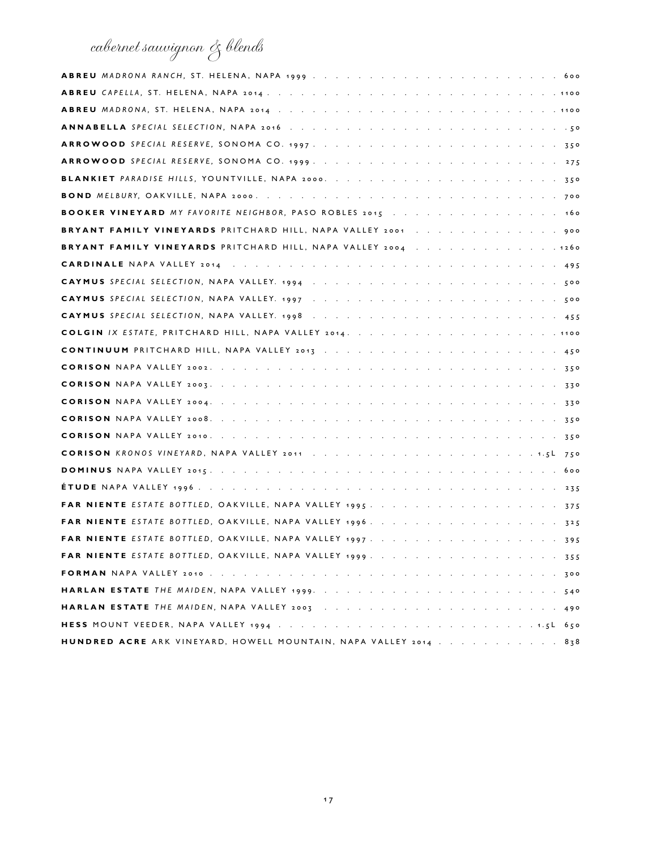## cabernet sauvignon & blends

| <b>BOOKER VINEYARD</b> MY FAVORITE NEIGHBOR, PASO ROBLES 2015 160 |
|-------------------------------------------------------------------|
| BRYANT FAMILY VINEYARDS PRITCHARD HILL, NAPA VALLEY 2001 900      |
| BRYANT FAMILY VINEYARDS PRITCHARD HILL, NAPA VALLEY 2004 1260     |
|                                                                   |
|                                                                   |
|                                                                   |
|                                                                   |
|                                                                   |
|                                                                   |
|                                                                   |
|                                                                   |
|                                                                   |
|                                                                   |
|                                                                   |
|                                                                   |
|                                                                   |
|                                                                   |
|                                                                   |
|                                                                   |
|                                                                   |
|                                                                   |
|                                                                   |
|                                                                   |
|                                                                   |
|                                                                   |
| HUNDRED ACRE ARK VINEYARD, HOWELL MOUNTAIN, NAPA VALLEY 2014 838  |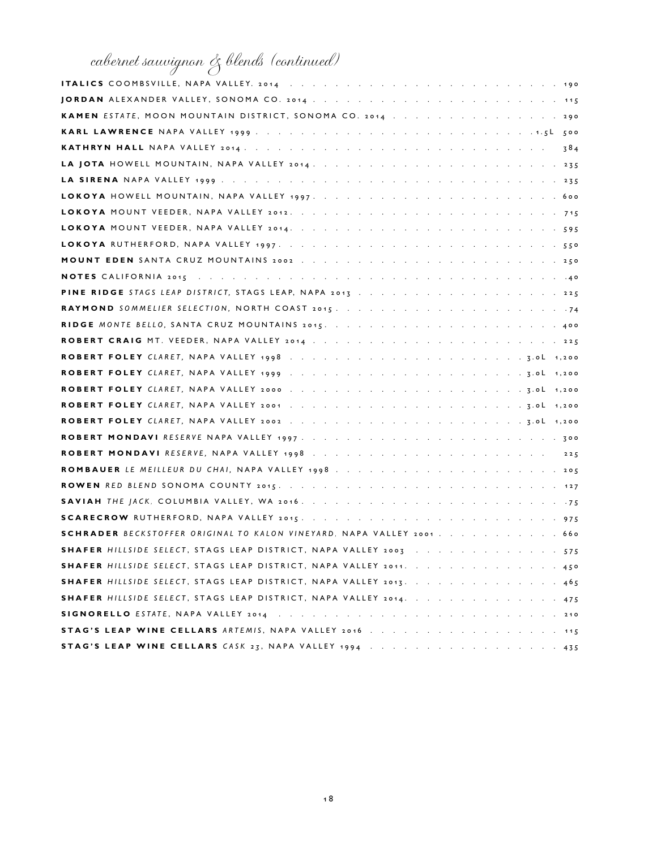# cabernet sauvignon & blends (continued)

| KAMEN ESTATE, MOON MOUNTAIN DISTRICT, SONOMA CO. 2014 290              |
|------------------------------------------------------------------------|
|                                                                        |
|                                                                        |
|                                                                        |
|                                                                        |
|                                                                        |
|                                                                        |
|                                                                        |
|                                                                        |
|                                                                        |
|                                                                        |
|                                                                        |
|                                                                        |
|                                                                        |
|                                                                        |
|                                                                        |
|                                                                        |
|                                                                        |
|                                                                        |
|                                                                        |
|                                                                        |
| ROBERT MONDAVI RESERVE, NAPA VALLEY 1998225                            |
| ROMBAUER LE MEILLEUR DU CHAI, NAPA VALLEY 1998205                      |
|                                                                        |
|                                                                        |
|                                                                        |
| SCHRADER BECKSTOFFER ORIGINAL TO KALON VINEYARD, NAPA VALLEY 2001. 660 |
| SHAFER HILLSIDE SELECT, STAGS LEAP DISTRICT, NAPA VALLEY 2003 575      |
| SHAFER HILLSIDE SELECT, STAGS LEAP DISTRICT, NAPA VALLEY 2011. 450     |
| SHAFER HILLSIDE SELECT, STAGS LEAP DISTRICT, NAPA VALLEY 2013. 465     |
| SHAFER HILLSIDE SELECT, STAGS LEAP DISTRICT, NAPA VALLEY 2014. 475     |
|                                                                        |
|                                                                        |
|                                                                        |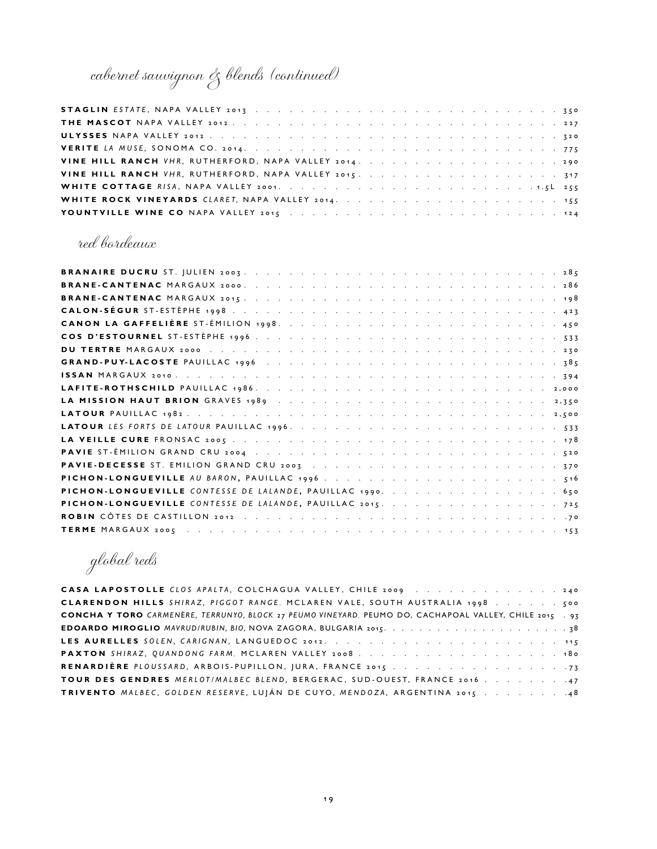# cabernet sauvignon & blends (continued)

| VINE HILL RANCH VHR, RUTHERFORD, NAPA VALLEY 2015. 317 |  |
|--------------------------------------------------------|--|
|                                                        |  |
|                                                        |  |
|                                                        |  |

### red bordeaux

| PICHON-LONGUEVILLE CONTESSE DE LALANDE, PAUILLAC 2015. 725 |
|------------------------------------------------------------|
|                                                            |
|                                                            |

global reds

| CASA LAPOSTOLLE CLOS APALTA, COLCHAGUA VALLEY, CHILE 2009 240                                           |  |
|---------------------------------------------------------------------------------------------------------|--|
|                                                                                                         |  |
| CONCHA Y TORO CARMENÈRE, TERRUNYO, BLOCK 27 PEUMO VINEYARD, PEUMO DO, CACHAPOAL VALLEY, CHILE 2015 . 93 |  |
|                                                                                                         |  |
|                                                                                                         |  |
| PAXTON SHIRAZ, QUANDONG FARM, MCLAREN VALLEY 2008                                                       |  |
|                                                                                                         |  |
| TOUR DES GENDRES MERLOT/MALBEC BLEND, BERGERAC, SUD-OUEST, FRANCE 2016 47                               |  |
| TRIVENTO MALBEC, GOLDEN RESERVE, LUJÁN DE CUYO, MENDOZA, ARGENTINA 2015 48                              |  |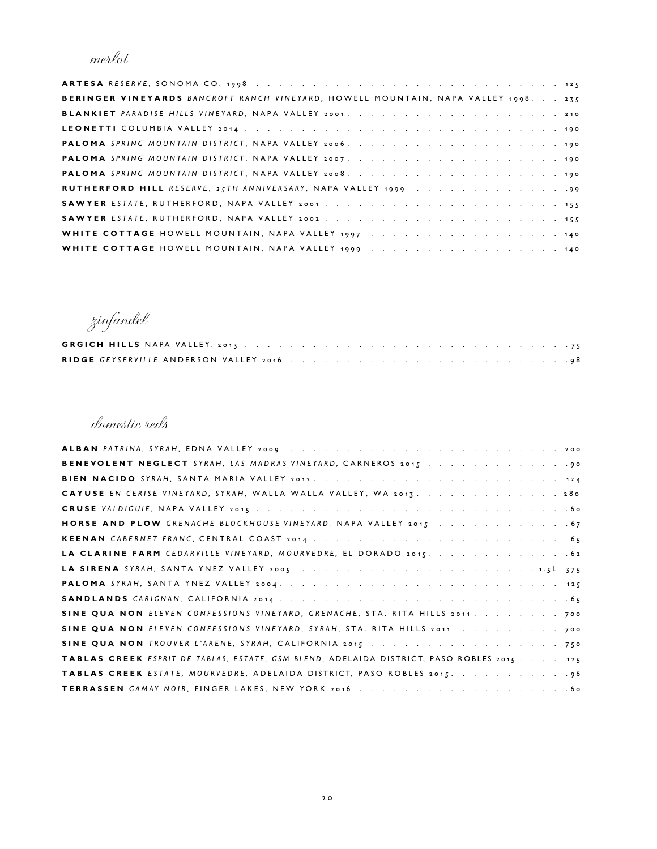merlot

| BERINGER VINEYARDS BANCROFT RANCH VINEYARD, HOWELL MOUNTAIN, NAPA VALLEY 1998. 275 |  |
|------------------------------------------------------------------------------------|--|
|                                                                                    |  |
|                                                                                    |  |
|                                                                                    |  |
|                                                                                    |  |
|                                                                                    |  |
|                                                                                    |  |
|                                                                                    |  |
|                                                                                    |  |
|                                                                                    |  |
|                                                                                    |  |

zinfandel

domestic reds

| CAYUSE EN CERISE VINEYARD, SYRAH, WALLA WALLA VALLEY, WA 2013. 280                        |
|-------------------------------------------------------------------------------------------|
|                                                                                           |
|                                                                                           |
|                                                                                           |
|                                                                                           |
|                                                                                           |
|                                                                                           |
|                                                                                           |
| SINE QUA NON ELEVEN CONFESSIONS VINEYARD, GRENACHE, STA. RITA HILLS 2011. 700             |
| SINE QUA NON ELEVEN CONFESSIONS VINEYARD, SYRAH, STA. RITA HILLS 2011 700                 |
| SINE QUA NON TROUVER L'ARENE, SYRAH, CALIFORNIA 2015 750                                  |
| TABLAS CREEK ESPRIT DE TABLAS, ESTATE, GSM BLEND, ADELAIDA DISTRICT, PASO ROBLES 2015 125 |
|                                                                                           |
|                                                                                           |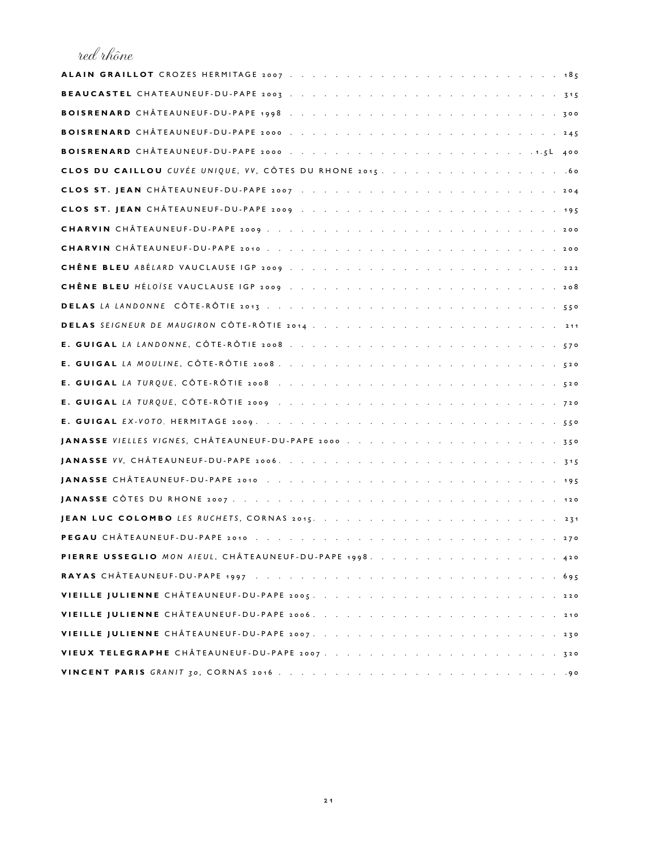### red rhône

| . 715                                                    |
|----------------------------------------------------------|
|                                                          |
|                                                          |
|                                                          |
|                                                          |
|                                                          |
|                                                          |
|                                                          |
|                                                          |
|                                                          |
|                                                          |
|                                                          |
|                                                          |
|                                                          |
|                                                          |
|                                                          |
|                                                          |
|                                                          |
|                                                          |
|                                                          |
|                                                          |
|                                                          |
| <b>JEAN LUC COLOMBO</b> LES RUCHETS, CORNAS 2015.        |
| PEGAU CHÂTEAUNEUF-DU-PAPE 2010<br>. 270                  |
| PIERRE USSEGLIO MON AIEUL, CHÂTEAUNEUF-DU-PAPE 1998. 420 |
|                                                          |
|                                                          |
|                                                          |
|                                                          |
|                                                          |
|                                                          |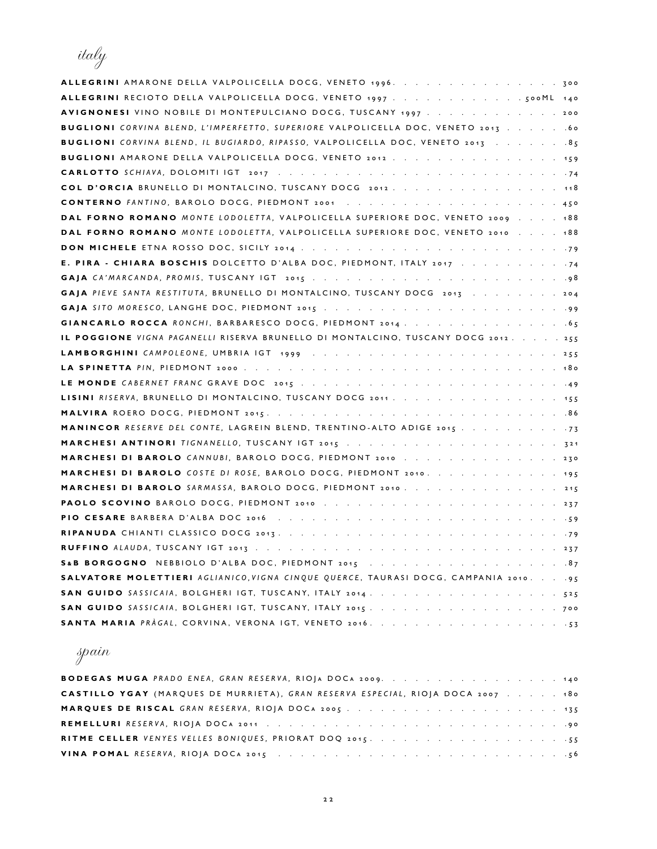italy

| ALLEGRINI AMARONE DELLA VALPOLICELLA DOCG, VENETO 1996. 300                                 |
|---------------------------------------------------------------------------------------------|
|                                                                                             |
| AVIGNONESI VINO NOBILE DI MONTEPULCIANO DOCG, TUSCANY 1997 200                              |
| BUGLIONI CORVINA BLEND, L'IMPERFETTO, SUPERIORE VALPOLICELLA DOC, VENETO 2013 60            |
| BUGLIONI CORVINA BLEND, IL BUGIARDO, RIPASSO, VALPOLICELLA DOC, VENETO 2013 85              |
| BUGLIONI AMARONE DELLA VALPOLICELLA DOCG, VENETO 2012 159                                   |
|                                                                                             |
| COL D'ORCIA BRUNELLO DI MONTALCINO, TUSCANY DOCG 2012. 118                                  |
|                                                                                             |
| DAL FORNO ROMANO MONTE LODOLETTA, VALPOLICELLA SUPERIORE DOC, VENETO 2009 188               |
| DAL FORNO ROMANO MONTE LODOLETTA, VALPOLICELLA SUPERIORE DOC, VENETO 2010 188               |
|                                                                                             |
| E. PIRA - CHIARA BOSCHIS DOLCETTO D'ALBA DOC, PIEDMONT, ITALY 2017 74                       |
|                                                                                             |
| GAJA PIEVE SANTA RESTITUTA, BRUNELLO DI MONTALCINO, TUSCANY DOCG 2013 204                   |
|                                                                                             |
|                                                                                             |
| IL POGGIONE VIGNA PAGANELLI RISERVA BRUNELLO DI MONTALCINO, TUSCANY DOCG 2012. 255          |
|                                                                                             |
|                                                                                             |
|                                                                                             |
| LISINI RISERVA, BRUNELLO DI MONTALCINO, TUSCANY DOCG 2011 155                               |
|                                                                                             |
| MANINCOR RESERVE DEL CONTE, LAGREIN BLEND, TRENTINO-ALTO ADIGE 2015 73                      |
|                                                                                             |
| MARCHESI DI BAROLO CANNUBI, BAROLO DOCG, PIEDMONT 2010 230                                  |
| MARCHESI DI BAROLO COSTE DI ROSE, BAROLO DOCG, PIEDMONT 2010. 195                           |
| MARCHESI DI BAROLO SARMASSA, BAROLO DOCG, PIEDMONT 2010. 215                                |
|                                                                                             |
|                                                                                             |
|                                                                                             |
|                                                                                             |
|                                                                                             |
| SALVATORE MOLETTIERI AGLIANICO, VIGNA CINQUE QUERCE, TAURASI DOCG, CAMPANIA 2010. 95        |
|                                                                                             |
|                                                                                             |
| SANTA MARIA PRÀGAL, CORVINA, VERONA IGT, VENETO 2016.<br>$\cdot \cdot \cdot \cdot \cdot 53$ |

## spain

| BODEGAS MUGA PRADO ENEA, GRAN RESERVA, RIOJA DOCA 2009. 140                     |
|---------------------------------------------------------------------------------|
| CASTILLO YGAY (MARQUES DE MURRIETA), GRAN RESERVA ESPECIAL, RIOJA DOCA 2007 180 |
|                                                                                 |
|                                                                                 |
|                                                                                 |
|                                                                                 |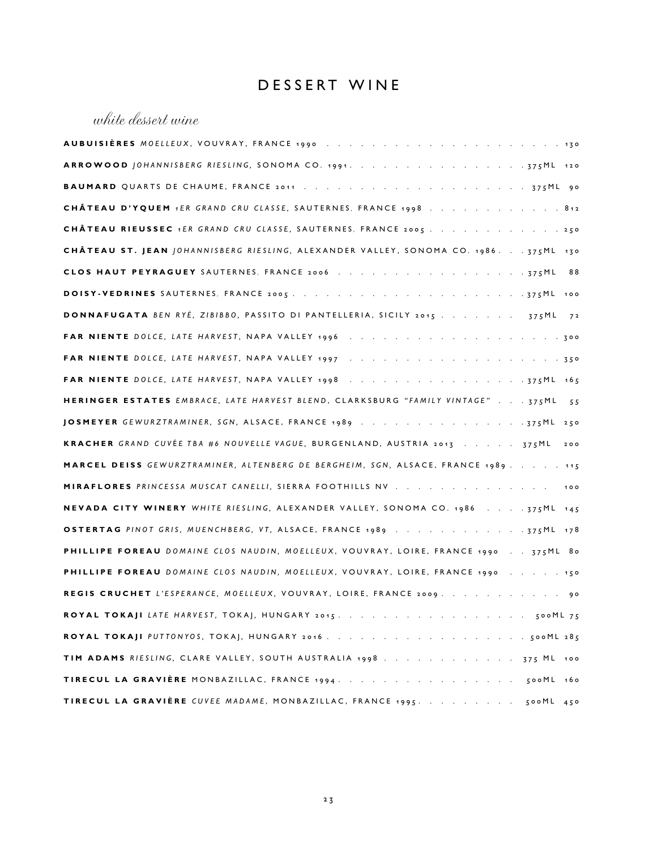### DESSERT WINE

### white dessert wine

| CHÂTEAU D'YQUEM 1ER GRAND CRU CLASSE, SAUTERNES, FRANCE 1998 812                           |
|--------------------------------------------------------------------------------------------|
| <b>CHÂTEAU RIEUSSEC</b> 1ER GRAND CRU CLASSE, SAUTERNES, FRANCE 2005 250                   |
| CHÂTEAU ST. JEAN JOHANNISBERG RIESLING, ALEXANDER VALLEY, SONOMA CO. 1986. 375ML 130       |
|                                                                                            |
|                                                                                            |
| <b>DONNAFUGATA</b> BEN RYÉ, ZIBIBBO, PASSITO DI PANTELLERIA, SICILY 2015 375ML 72          |
|                                                                                            |
|                                                                                            |
|                                                                                            |
| HERINGER ESTATES EMBRACE, LATE HARVEST BLEND, CLARKSBURG "FAMILY VINTAGE" 375ML 55         |
| JOSMEYER GEWURZTRAMINER, SGN, ALSACE, FRANCE 1989 375ML 250                                |
| KRACHER GRAND CUVÉE TBA #6 NOUVELLE VAGUE, BURGENLAND, AUSTRIA 2013 375ML 200              |
| MARCEL DEISS GEWURZTRAMINER, ALTENBERG DE BERGHEIM, SGN, ALSACE, FRANCE 1989 115           |
| MIRAFLORES PRINCESSA MUSCAT CANELLI, SIERRA FOOTHILLS NV 100                               |
| NEVADA CITY WINERY WHITE RIESLING, ALEXANDER VALLEY, SONOMA CO. 1986 375ML 145             |
| OSTERTAG PINOT GRIS, MUENCHBERG, VT, ALSACE, FRANCE 1989 375ML 178                         |
| <b>PHILLIPE FOREAU</b> DOMAINE CLOS NAUDIN, MOELLEUX, VOUVRAY, LOIRE, FRANCE 1990 375ML 80 |
| PHILLIPE FOREAU DOMAINE CLOS NAUDIN, MOELLEUX, VOUVRAY, LOIRE, FRANCE 1990 150             |
| REGIS CRUCHET L'ESPERANCE, MOELLEUX, VOUVRAY, LOIRE, FRANCE 2009. 90                       |
|                                                                                            |
|                                                                                            |
| TIM ADAMS RIESLING, CLARE VALLEY, SOUTH AUSTRALIA 1998 375 ML 100                          |
|                                                                                            |
|                                                                                            |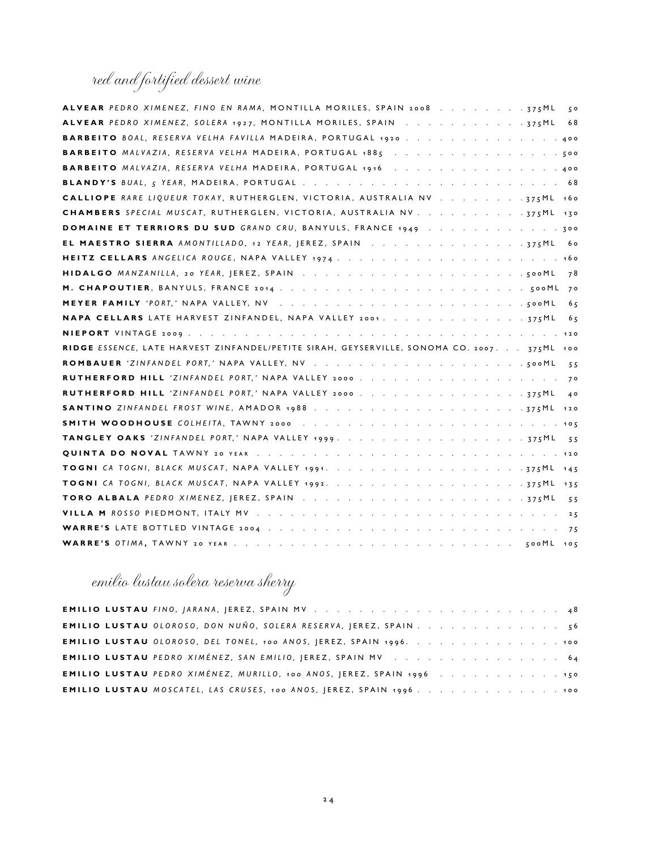### red and fortified dessert wine

| ALVEAR PEDRO XIMENEZ, FINO EN RAMA, MONTILLA MORILES, SPAIN 2008 375ML<br>50                |
|---------------------------------------------------------------------------------------------|
| 68                                                                                          |
| <b>BARBEITO</b> BOAL, RESERVA VELHA FAVILLA MADEIRA, PORTUGAL 1920, , , , ,                 |
|                                                                                             |
| BARBEITO MALVAZIA, RESERVA VELHA MADEIRA, PORTUGAL 1916 400                                 |
|                                                                                             |
| CALLIOPE RARE LIQUEUR TOKAY, RUTHERGLEN, VICTORIA, AUSTRALIA NV 775ML 160                   |
|                                                                                             |
| <b>DOMAINE ET TERRIORS DU SUD</b> GRAND CRU, BANYULS, FRANCE 1949 300                       |
| EL MAESTRO SIERRA AMONTILLADO, 12 YEAR, JEREZ, SPAIN 375ML<br>60                            |
|                                                                                             |
| 78                                                                                          |
|                                                                                             |
| 6 <sub>5</sub>                                                                              |
| NAPA CELLARS LATE HARVEST ZINFANDEL, NAPA VALLEY 2001. 375ML<br>65                          |
|                                                                                             |
| RIDGE ESSENCE, LATE HARVEST ZINFANDEL/PETITE SIRAH, GEYSERVILLE, SONOMA CO. 2007. 375ML 100 |
|                                                                                             |
| 55                                                                                          |
| RUTHERFORD HILL 'ZINFANDEL PORT,' NAPA VALLEY 2000                                          |
| RUTHERFORD HILL 'ZINFANDEL PORT,' NAPA VALLEY 2000 375ML<br>40                              |
|                                                                                             |
|                                                                                             |
|                                                                                             |
|                                                                                             |
|                                                                                             |
|                                                                                             |
| 55                                                                                          |
|                                                                                             |
| 75                                                                                          |

## emilio lustau solera reserva sherry

|  | EMILIO LUSTAU OLOROSO, DON NUÑO, SOLERA RESERVA, JEREZ, SPAIN 56             |  |  |  |  |  |  |
|--|------------------------------------------------------------------------------|--|--|--|--|--|--|
|  | EMILIO LUSTAU 0LOROSO, DEL TONEL, 100 ANOS, JEREZ, SPAIN 1996. 100           |  |  |  |  |  |  |
|  |                                                                              |  |  |  |  |  |  |
|  | <b>EMILIO LUSTAU</b> PEDRO XIMÉNEZ, MURILLO, 100 ANOS, JEREZ, SPAIN 1996 150 |  |  |  |  |  |  |
|  | EMILIO LUSTAU MOSCATEL, LAS CRUSES, 100 ANOS, JEREZ, SPAIN 1996. 100         |  |  |  |  |  |  |